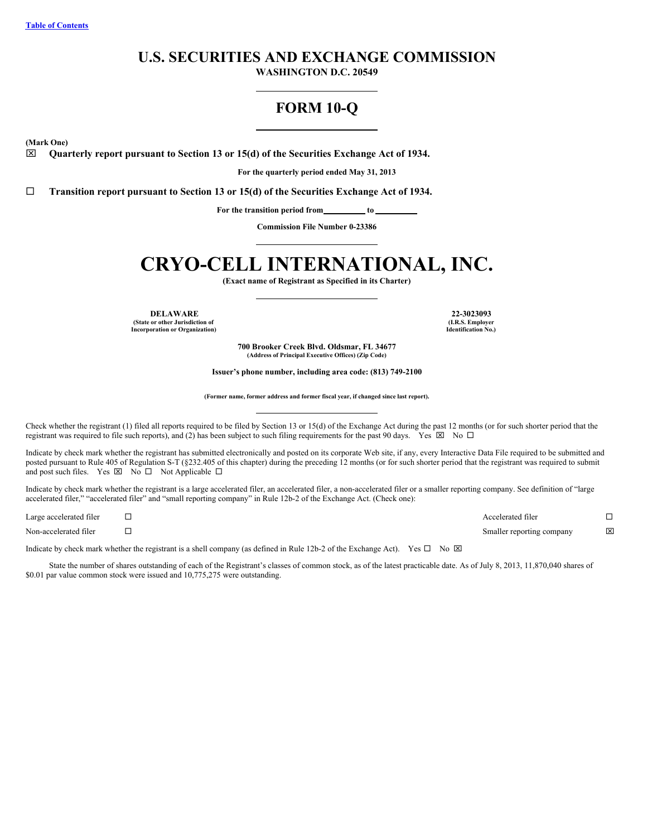# **U.S. SECURITIES AND EXCHANGE COMMISSION**

**WASHINGTON D.C. 20549**

# **FORM 10-Q**

<span id="page-0-0"></span>**(Mark One)**

x **Quarterly report pursuant to Section 13 or 15(d) of the Securities Exchange Act of 1934.**

**For the quarterly period ended May 31, 2013**

¨ **Transition report pursuant to Section 13 or 15(d) of the Securities Exchange Act of 1934.**

**For the transition period from to**

**Commission File Number 0-23386**

# **CRYO-CELL INTERNATIONAL, INC.**

**(Exact name of Registrant as Specified in its Charter)**

**DELAWARE 22-3023093 (State or other Jurisdiction of Incorporation or Organization)**

**(I.R.S. Employer Identification No.)**

**700 Brooker Creek Blvd. Oldsmar, FL 34677 (Address of Principal Executive Offices) (Zip Code)**

**Issuer's phone number, including area code: (813) 749-2100**

**(Former name, former address and former fiscal year, if changed since last report).**

Check whether the registrant (1) filed all reports required to be filed by Section 13 or 15(d) of the Exchange Act during the past 12 months (or for such shorter period that the registrant was required to file such reports), and (2) has been subject to such filing requirements for the past 90 days. Yes  $\boxtimes$  No  $\Box$ 

Indicate by check mark whether the registrant has submitted electronically and posted on its corporate Web site, if any, every Interactive Data File required to be submitted and posted pursuant to Rule 405 of Regulation S-T (§232.405 of this chapter) during the preceding 12 months (or for such shorter period that the registrant was required to submit and post such files. Yes  $\boxtimes$  No  $\square$  Not Applicable  $\square$ 

Indicate by check mark whether the registrant is a large accelerated filer, an accelerated filer, a non-accelerated filer or a smaller reporting company. See definition of "large accelerated filer," "accelerated filer" and "small reporting company" in Rule 12b-2 of the Exchange Act. (Check one):

Large accelerated filer  $\Box$ Non-accelerated filer ¨ Smaller reporting company x

Indicate by check mark whether the registrant is a shell company (as defined in Rule 12b-2 of the Exchange Act). Yes  $\Box$  No  $\boxtimes$ 

State the number of shares outstanding of each of the Registrant's classes of common stock, as of the latest practicable date. As of July 8, 2013, 11,870,040 shares of \$0.01 par value common stock were issued and 10,775,275 were outstanding.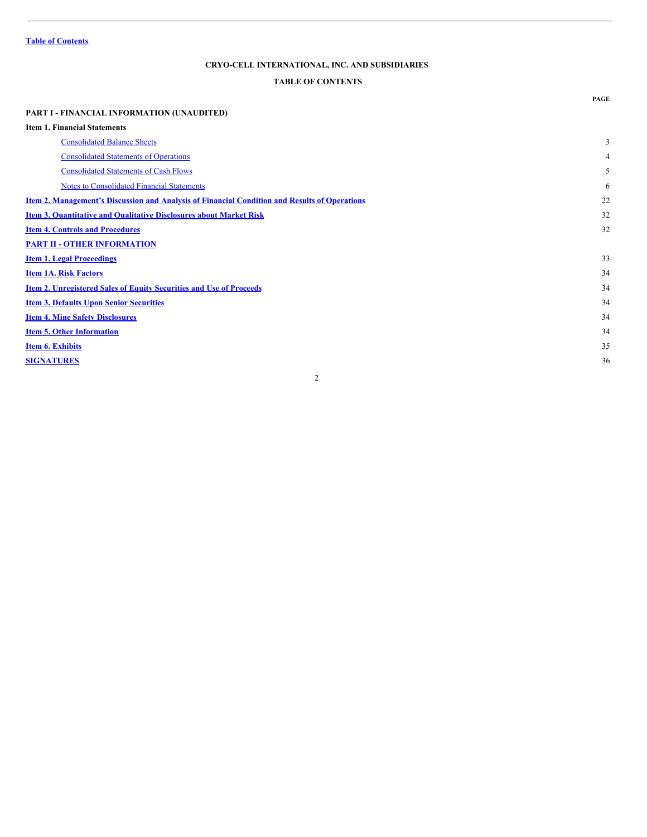# <span id="page-1-0"></span>**TABLE OF CONTENTS**

| PART I - FINANCIAL INFORMATION (UNAUDITED)                                                           |                |
|------------------------------------------------------------------------------------------------------|----------------|
| <b>Item 1. Financial Statements</b>                                                                  |                |
| <b>Consolidated Balance Sheets</b>                                                                   | 3              |
| <b>Consolidated Statements of Operations</b>                                                         | $\overline{4}$ |
| <b>Consolidated Statements of Cash Flows</b>                                                         | 5              |
| <b>Notes to Consolidated Financial Statements</b>                                                    | 6              |
| <b>Item 2. Management's Discussion and Analysis of Financial Condition and Results of Operations</b> | 22             |
| <b>Item 3. Quantitative and Qualitative Disclosures about Market Risk</b>                            | 32             |
| <b>Item 4. Controls and Procedures</b>                                                               | 32             |
| <b>PART II - OTHER INFORMATION</b>                                                                   |                |
| <b>Item 1. Legal Proceedings</b>                                                                     | 33             |
| <b>Item 1A. Risk Factors</b>                                                                         | 34             |
| <b>Item 2. Unregistered Sales of Equity Securities and Use of Proceeds</b>                           | 34             |
| <b>Item 3. Defaults Upon Senior Securities</b>                                                       | 34             |
| <b>Item 4. Mine Safety Disclosures</b>                                                               | 34             |
| <b>Item 5. Other Information</b>                                                                     | 34             |
| <b>Item 6. Exhibits</b>                                                                              | 35             |
| <b>SIGNATURES</b>                                                                                    | 36             |

**PAGE**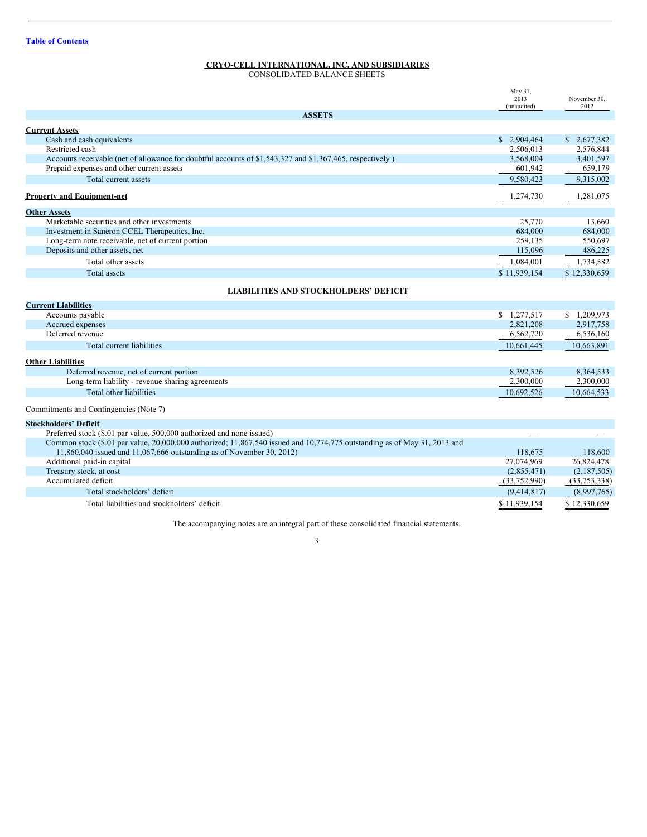<span id="page-2-0"></span>CONSOLIDATED BALANCE SHEETS

|                                                                                                                           | May 31,<br>2013<br>(unaudited) | November 30.<br>2012 |
|---------------------------------------------------------------------------------------------------------------------------|--------------------------------|----------------------|
| <b>ASSETS</b>                                                                                                             |                                |                      |
| <b>Current Assets</b>                                                                                                     |                                |                      |
| Cash and cash equivalents                                                                                                 | \$2,904,464                    | \$2,677,382          |
| Restricted cash                                                                                                           | 2,506,013                      | 2,576,844            |
| Accounts receivable (net of allowance for doubtful accounts of \$1,543,327 and \$1,367,465, respectively)                 | 3,568,004                      | 3,401,597            |
| Prepaid expenses and other current assets                                                                                 | 601,942                        | 659,179              |
| Total current assets                                                                                                      | 9,580,423                      | 9,315,002            |
| <b>Property and Equipment-net</b>                                                                                         | 1,274,730                      | 1,281,075            |
| <b>Other Assets</b>                                                                                                       |                                |                      |
| Marketable securities and other investments                                                                               | 25,770                         | 13,660               |
| Investment in Saneron CCEL Therapeutics, Inc.                                                                             | 684,000                        | 684,000              |
| Long-term note receivable, net of current portion                                                                         | 259,135                        | 550.697              |
| Deposits and other assets, net                                                                                            | 115,096                        | 486,225              |
| Total other assets                                                                                                        | 1,084,001                      | 1,734,582            |
| Total assets                                                                                                              | \$11,939,154                   | \$12,330,659         |
| <b>LIABILITIES AND STOCKHOLDERS' DEFICIT</b>                                                                              |                                |                      |
| <b>Current Liabilities</b>                                                                                                |                                |                      |
| Accounts payable                                                                                                          | \$1,277,517                    | \$1,209,973          |
| Accrued expenses                                                                                                          | 2,821,208                      | 2,917,758            |
| Deferred revenue                                                                                                          | 6,562,720                      | 6,536,160            |
| Total current liabilities                                                                                                 | 10,661,445                     | 10,663,891           |
| <b>Other Liabilities</b>                                                                                                  |                                |                      |
| Deferred revenue, net of current portion                                                                                  | 8,392,526                      | 8,364,533            |
| Long-term liability - revenue sharing agreements                                                                          | 2,300,000                      | 2,300,000            |
| Total other liabilities                                                                                                   | 10,692,526                     | 10,664,533           |
| Commitments and Contingencies (Note 7)                                                                                    |                                |                      |
| <b>Stockholders' Deficit</b>                                                                                              |                                |                      |
| Preferred stock (\$.01 par value, 500,000 authorized and none issued)                                                     |                                |                      |
| Common stock (\$.01 par value, 20,000,000 authorized; 11,867,540 issued and 10,774,775 outstanding as of May 31, 2013 and |                                |                      |
| 11,860,040 issued and 11,067,666 outstanding as of November 30, 2012)                                                     | 118,675                        | 118,600              |
| Additional paid-in capital                                                                                                | 27,074,969                     | 26,824,478           |
| Treasury stock, at cost                                                                                                   | (2,855,471)                    | (2,187,505)          |
| Accumulated deficit                                                                                                       | (33, 752, 990)                 | (33,753,338)         |
| Total stockholders' deficit                                                                                               | (9,414,817)                    | (8,997,765)          |
| Total liabilities and stockholders' deficit                                                                               | \$11,939,154                   | \$12,330,659         |

The accompanying notes are an integral part of these consolidated financial statements.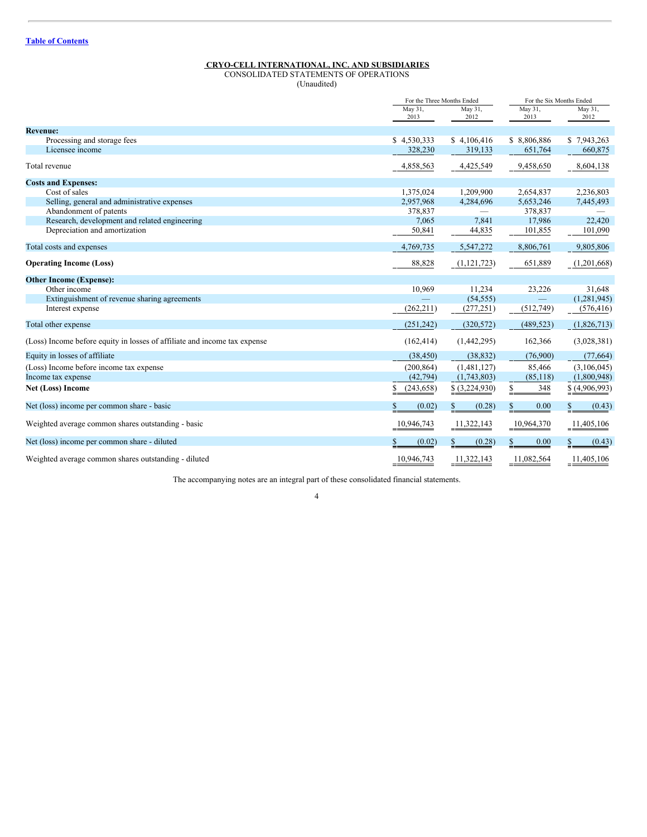<span id="page-3-0"></span>CONSOLIDATED STATEMENTS OF OPERATIONS (Unaudited)

| $($ Unaudited $)$                                                         |                            |                 |                          |                 |
|---------------------------------------------------------------------------|----------------------------|-----------------|--------------------------|-----------------|
|                                                                           | For the Three Months Ended |                 | For the Six Months Ended |                 |
|                                                                           | May 31,<br>2013            | May 31,<br>2012 | May 31,<br>2013          | May 31,<br>2012 |
| <b>Revenue:</b>                                                           |                            |                 |                          |                 |
| Processing and storage fees                                               | \$4,530,333                | \$4,106,416     | \$8,806,886              | \$7,943,263     |
| Licensee income                                                           | 328,230                    | 319,133         | 651,764                  | 660,875         |
| Total revenue                                                             | 4,858,563                  | 4,425,549       | 9,458,650                | 8,604,138       |
| <b>Costs and Expenses:</b>                                                |                            |                 |                          |                 |
| Cost of sales                                                             | 1,375,024                  | 1,209,900       | 2,654,837                | 2,236,803       |
| Selling, general and administrative expenses                              | 2,957,968                  | 4,284,696       | 5,653,246                | 7,445,493       |
| Abandonment of patents                                                    | 378,837                    |                 | 378,837                  |                 |
| Research, development and related engineering                             | 7,065                      | 7,841           | 17,986                   | 22,420          |
| Depreciation and amortization                                             | 50,841                     | 44,835          | 101,855                  | 101,090         |
| Total costs and expenses                                                  | 4,769,735                  | 5,547,272       | 8,806,761                | 9,805,806       |
| <b>Operating Income (Loss)</b>                                            | 88,828                     | (1,121,723)     | 651,889                  | (1,201,668)     |
| <b>Other Income (Expense):</b>                                            |                            |                 |                          |                 |
| Other income                                                              | 10,969                     | 11,234          | 23,226                   | 31,648          |
| Extinguishment of revenue sharing agreements                              |                            | (54, 555)       |                          | (1,281,945)     |
| Interest expense                                                          | (262, 211)                 | (277, 251)      | (512,749)                | (576, 416)      |
| Total other expense                                                       | (251, 242)                 | (320, 572)      | (489, 523)               | (1,826,713)     |
| (Loss) Income before equity in losses of affiliate and income tax expense | (162, 414)                 | (1,442,295)     | 162,366                  | (3,028,381)     |
| Equity in losses of affiliate                                             | (38, 450)                  | (38, 832)       | (76,900)                 | (77, 664)       |
| (Loss) Income before income tax expense                                   | (200, 864)                 | (1,481,127)     | 85,466                   | (3,106,045)     |
| Income tax expense                                                        | (42, 794)                  | (1,743,803)     | (85, 118)                | (1,800,948)     |
| <b>Net (Loss) Income</b>                                                  | \$<br>(243, 658)           | \$ (3,224,930)  | $\frac{1}{2}$<br>348     | \$ (4,906,993)  |
| Net (loss) income per common share - basic                                | (0.02)<br>\$               | \$<br>(0.28)    | \$<br>0.00               | (0.43)<br>\$    |
| Weighted average common shares outstanding - basic                        | 10,946,743                 | 11,322,143      | 10,964,370               | 11,405,106      |
| Net (loss) income per common share - diluted                              | (0.02)<br>S                | (0.28)<br>\$    | 0.00<br>S                | (0.43)<br>\$    |

Weighted average common shares outstanding - diluted 10,946,743 10,946,743 11,322,143 11,082,564 11,405,106

The accompanying notes are an integral part of these consolidated financial statements.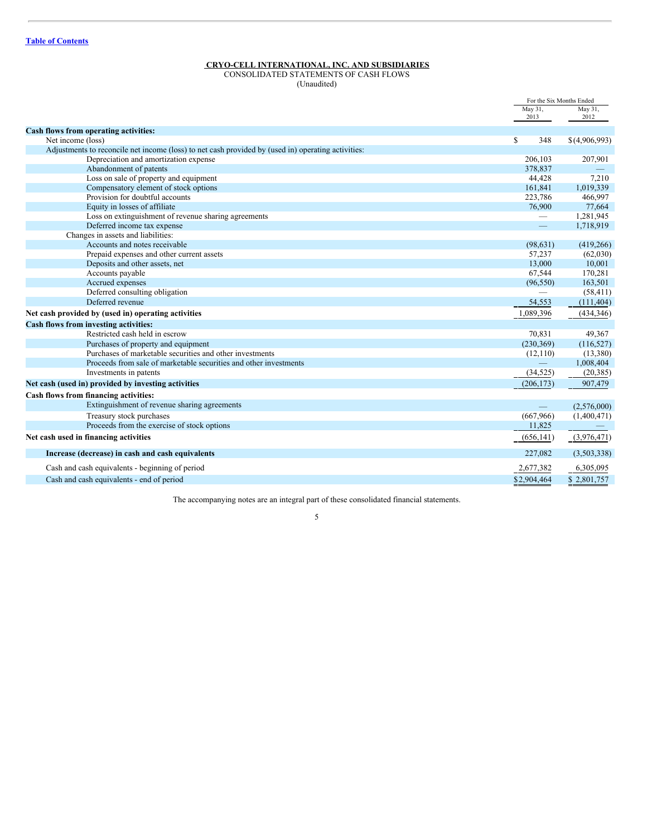# <span id="page-4-0"></span>CONSOLIDATED STATEMENTS OF CASH FLOWS

(Unaudited)

|                                                                                                    |                                 | For the Six Months Ended |
|----------------------------------------------------------------------------------------------------|---------------------------------|--------------------------|
|                                                                                                    | May 31,<br>2013                 | May 31,<br>2012          |
| Cash flows from operating activities:                                                              |                                 |                          |
| Net income (loss)                                                                                  | \$<br>348                       | \$(4,906,993)            |
| Adjustments to reconcile net income (loss) to net cash provided by (used in) operating activities: |                                 |                          |
| Depreciation and amortization expense                                                              | 206,103                         | 207,901                  |
| Abandonment of patents                                                                             | 378,837                         |                          |
| Loss on sale of property and equipment                                                             | 44,428                          | 7,210                    |
| Compensatory element of stock options                                                              | 161,841                         | 1,019,339                |
| Provision for doubtful accounts                                                                    | 223,786                         | 466,997                  |
| Equity in losses of affiliate                                                                      | 76,900                          | 77,664                   |
| Loss on extinguishment of revenue sharing agreements                                               | $\hspace{0.1mm}-\hspace{0.1mm}$ | 1,281,945                |
| Deferred income tax expense                                                                        |                                 | 1,718,919                |
| Changes in assets and liabilities:                                                                 |                                 |                          |
| Accounts and notes receivable                                                                      | (98, 631)                       | (419,266)                |
| Prepaid expenses and other current assets                                                          | 57,237                          | (62,030)                 |
| Deposits and other assets, net                                                                     | 13,000                          | 10,001                   |
| Accounts payable                                                                                   | 67.544                          | 170,281                  |
| Accrued expenses                                                                                   | (96, 550)                       | 163,501                  |
| Deferred consulting obligation                                                                     |                                 | (58, 411)                |
| Deferred revenue                                                                                   | 54,553                          | (111, 404)               |
| Net cash provided by (used in) operating activities                                                | 1,089,396                       | (434, 346)               |
| Cash flows from investing activities:                                                              |                                 |                          |
| Restricted cash held in escrow                                                                     | 70,831                          | 49,367                   |
| Purchases of property and equipment                                                                | (230, 369)                      | (116, 527)               |
| Purchases of marketable securities and other investments                                           | (12,110)                        | (13,380)                 |
| Proceeds from sale of marketable securities and other investments                                  | $\overline{\phantom{0}}$        | 1,008,404                |
| Investments in patents                                                                             | (34, 525)                       | (20, 385)                |
| Net cash (used in) provided by investing activities                                                | (206, 173)                      | 907,479                  |
| Cash flows from financing activities:                                                              |                                 |                          |
| Extinguishment of revenue sharing agreements                                                       |                                 | (2,576,000)              |
| Treasury stock purchases                                                                           | (667, 966)                      | (1,400,471)              |
| Proceeds from the exercise of stock options                                                        | 11,825                          |                          |
| Net cash used in financing activities                                                              | (656, 141)                      | (3,976,471)              |
| Increase (decrease) in cash and cash equivalents                                                   | 227,082                         | (3,503,338)              |
| Cash and cash equivalents - beginning of period                                                    | 2,677,382                       | 6,305,095                |
| Cash and cash equivalents - end of period                                                          | \$2,904,464                     | \$2,801,757              |

The accompanying notes are an integral part of these consolidated financial statements.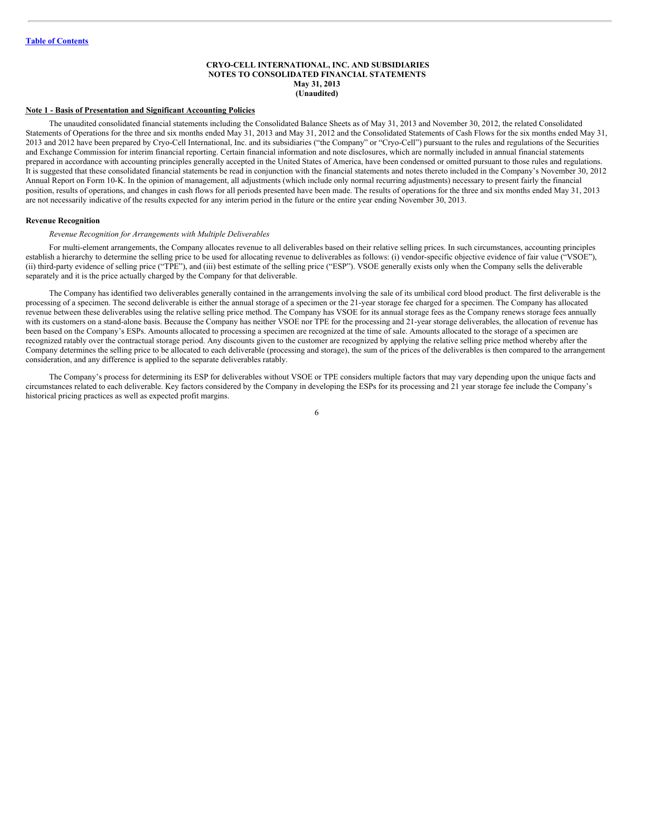#### <span id="page-5-0"></span>**CRYO-CELL INTERNATIONAL, INC. AND SUBSIDIARIES NOTES TO CONSOLIDATED FINANCIAL STATEMENTS May 31, 2013 (Unaudited)**

#### **Note 1 - Basis of Presentation and Significant Accounting Policies**

The unaudited consolidated financial statements including the Consolidated Balance Sheets as of May 31, 2013 and November 30, 2012, the related Consolidated Statements of Operations for the three and six months ended May 31, 2013 and May 31, 2012 and the Consolidated Statements of Cash Flows for the six months ended May 31, 2013 and 2012 have been prepared by Cryo-Cell International, Inc. and its subsidiaries ("the Company" or "Cryo-Cell") pursuant to the rules and regulations of the Securities and Exchange Commission for interim financial reporting. Certain financial information and note disclosures, which are normally included in annual financial statements prepared in accordance with accounting principles generally accepted in the United States of America, have been condensed or omitted pursuant to those rules and regulations. It is suggested that these consolidated financial statements be read in conjunction with the financial statements and notes thereto included in the Company's November 30, 2012 Annual Report on Form 10-K. In the opinion of management, all adjustments (which include only normal recurring adjustments) necessary to present fairly the financial position, results of operations, and changes in cash flows for all periods presented have been made. The results of operations for the three and six months ended May 31, 2013 are not necessarily indicative of the results expected for any interim period in the future or the entire year ending November 30, 2013.

#### **Revenue Recognition**

#### *Revenue Recognition for Arrangements with Multiple Deliverables*

For multi-element arrangements, the Company allocates revenue to all deliverables based on their relative selling prices. In such circumstances, accounting principles establish a hierarchy to determine the selling price to be used for allocating revenue to deliverables as follows: (i) vendor-specific objective evidence of fair value ("VSOE"), (ii) third-party evidence of selling price ("TPE"), and (iii) best estimate of the selling price ("ESP"). VSOE generally exists only when the Company sells the deliverable separately and it is the price actually charged by the Company for that deliverable.

The Company has identified two deliverables generally contained in the arrangements involving the sale of its umbilical cord blood product. The first deliverable is the processing of a specimen. The second deliverable is either the annual storage of a specimen or the 21-year storage fee charged for a specimen. The Company has allocated revenue between these deliverables using the relative selling price method. The Company has VSOE for its annual storage fees as the Company renews storage fees annually with its customers on a stand-alone basis. Because the Company has neither VSOE nor TPE for the processing and 21-year storage deliverables, the allocation of revenue has been based on the Company's ESPs. Amounts allocated to processing a specimen are recognized at the time of sale. Amounts allocated to the storage of a specimen are recognized ratably over the contractual storage period. Any discounts given to the customer are recognized by applying the relative selling price method whereby after the Company determines the selling price to be allocated to each deliverable (processing and storage), the sum of the prices of the deliverables is then compared to the arrangement consideration, and any difference is applied to the separate deliverables ratably.

The Company's process for determining its ESP for deliverables without VSOE or TPE considers multiple factors that may vary depending upon the unique facts and circumstances related to each deliverable. Key factors considered by the Company in developing the ESPs for its processing and 21 year storage fee include the Company's historical pricing practices as well as expected profit margins.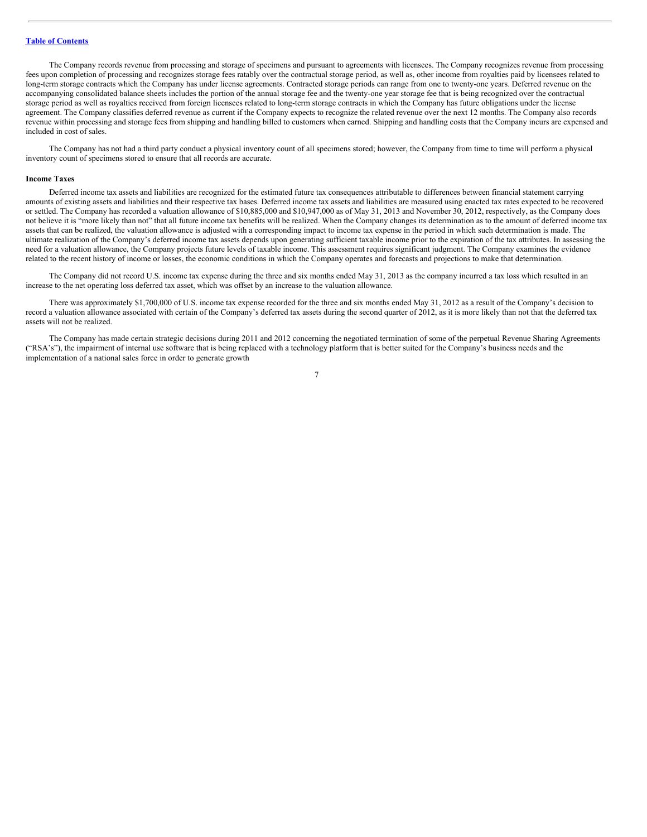The Company records revenue from processing and storage of specimens and pursuant to agreements with licensees. The Company recognizes revenue from processing fees upon completion of processing and recognizes storage fees ratably over the contractual storage period, as well as, other income from royalties paid by licensees related to long-term storage contracts which the Company has under license agreements. Contracted storage periods can range from one to twenty-one years. Deferred revenue on the accompanying consolidated balance sheets includes the portion of the annual storage fee and the twenty-one year storage fee that is being recognized over the contractual storage period as well as royalties received from foreign licensees related to long-term storage contracts in which the Company has future obligations under the license agreement. The Company classifies deferred revenue as current if the Company expects to recognize the related revenue over the next 12 months. The Company also records revenue within processing and storage fees from shipping and handling billed to customers when earned. Shipping and handling costs that the Company incurs are expensed and included in cost of sales.

The Company has not had a third party conduct a physical inventory count of all specimens stored; however, the Company from time to time will perform a physical inventory count of specimens stored to ensure that all records are accurate.

#### **Income Taxes**

Deferred income tax assets and liabilities are recognized for the estimated future tax consequences attributable to differences between financial statement carrying amounts of existing assets and liabilities and their respective tax bases. Deferred income tax assets and liabilities are measured using enacted tax rates expected to be recovered or settled. The Company has recorded a valuation allowance of \$10,885,000 and \$10,947,000 as of May 31, 2013 and November 30, 2012, respectively, as the Company does not believe it is "more likely than not" that all future income tax benefits will be realized. When the Company changes its determination as to the amount of deferred income tax assets that can be realized, the valuation allowance is adjusted with a corresponding impact to income tax expense in the period in which such determination is made. The ultimate realization of the Company's deferred income tax assets depends upon generating sufficient taxable income prior to the expiration of the tax attributes. In assessing the need for a valuation allowance, the Company projects future levels of taxable income. This assessment requires significant judgment. The Company examines the evidence related to the recent history of income or losses, the economic conditions in which the Company operates and forecasts and projections to make that determination.

The Company did not record U.S. income tax expense during the three and six months ended May 31, 2013 as the company incurred a tax loss which resulted in an increase to the net operating loss deferred tax asset, which was offset by an increase to the valuation allowance.

There was approximately \$1,700,000 of U.S. income tax expense recorded for the three and six months ended May 31, 2012 as a result of the Company's decision to record a valuation allowance associated with certain of the Company's deferred tax assets during the second quarter of 2012, as it is more likely than not that the deferred tax assets will not be realized.

The Company has made certain strategic decisions during 2011 and 2012 concerning the negotiated termination of some of the perpetual Revenue Sharing Agreements ("RSA's"), the impairment of internal use software that is being replaced with a technology platform that is better suited for the Company's business needs and the implementation of a national sales force in order to generate growth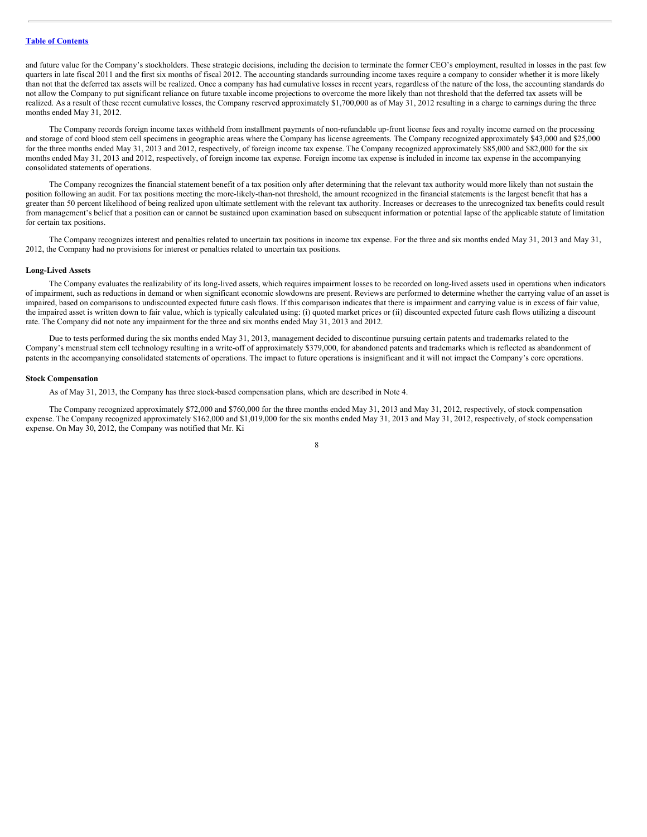and future value for the Company's stockholders. These strategic decisions, including the decision to terminate the former CEO's employment, resulted in losses in the past few quarters in late fiscal 2011 and the first six months of fiscal 2012. The accounting standards surrounding income taxes require a company to consider whether it is more likely than not that the deferred tax assets will be realized. Once a company has had cumulative losses in recent years, regardless of the nature of the loss, the accounting standards do not allow the Company to put significant reliance on future taxable income projections to overcome the more likely than not threshold that the deferred tax assets will be realized. As a result of these recent cumulative losses, the Company reserved approximately \$1,700,000 as of May 31, 2012 resulting in a charge to earnings during the three months ended May 31, 2012.

The Company records foreign income taxes withheld from installment payments of non-refundable up-front license fees and royalty income earned on the processing and storage of cord blood stem cell specimens in geographic areas where the Company has license agreements. The Company recognized approximately \$43,000 and \$25,000 for the three months ended May 31, 2013 and 2012, respectively, of foreign income tax expense. The Company recognized approximately \$85,000 and \$82,000 for the six months ended May 31, 2013 and 2012, respectively, of foreign income tax expense. Foreign income tax expense is included in income tax expense in the accompanying consolidated statements of operations.

The Company recognizes the financial statement benefit of a tax position only after determining that the relevant tax authority would more likely than not sustain the position following an audit. For tax positions meeting the more-likely-than-not threshold, the amount recognized in the financial statements is the largest benefit that has a greater than 50 percent likelihood of being realized upon ultimate settlement with the relevant tax authority. Increases or decreases to the unrecognized tax benefits could result from management's belief that a position can or cannot be sustained upon examination based on subsequent information or potential lapse of the applicable statute of limitation for certain tax positions.

The Company recognizes interest and penalties related to uncertain tax positions in income tax expense. For the three and six months ended May 31, 2013 and May 31, 2012, the Company had no provisions for interest or penalties related to uncertain tax positions.

#### **Long-Lived Assets**

The Company evaluates the realizability of its long-lived assets, which requires impairment losses to be recorded on long-lived assets used in operations when indicators of impairment, such as reductions in demand or when significant economic slowdowns are present. Reviews are performed to determine whether the carrying value of an asset is impaired, based on comparisons to undiscounted expected future cash flows. If this comparison indicates that there is impairment and carrying value is in excess of fair value, the impaired asset is written down to fair value, which is typically calculated using: (i) quoted market prices or (ii) discounted expected future cash flows utilizing a discount rate. The Company did not note any impairment for the three and six months ended May 31, 2013 and 2012.

Due to tests performed during the six months ended May 31, 2013, management decided to discontinue pursuing certain patents and trademarks related to the Company's menstrual stem cell technology resulting in a write-off of approximately \$379,000, for abandoned patents and trademarks which is reflected as abandonment of patents in the accompanying consolidated statements of operations. The impact to future operations is insignificant and it will not impact the Company's core operations.

#### **Stock Compensation**

As of May 31, 2013, the Company has three stock-based compensation plans, which are described in Note 4.

The Company recognized approximately \$72,000 and \$760,000 for the three months ended May 31, 2013 and May 31, 2012, respectively, of stock compensation expense. The Company recognized approximately \$162,000 and \$1,019,000 for the six months ended May 31, 2013 and May 31, 2012, respectively, of stock compensation expense. On May 30, 2012, the Company was notified that Mr. Ki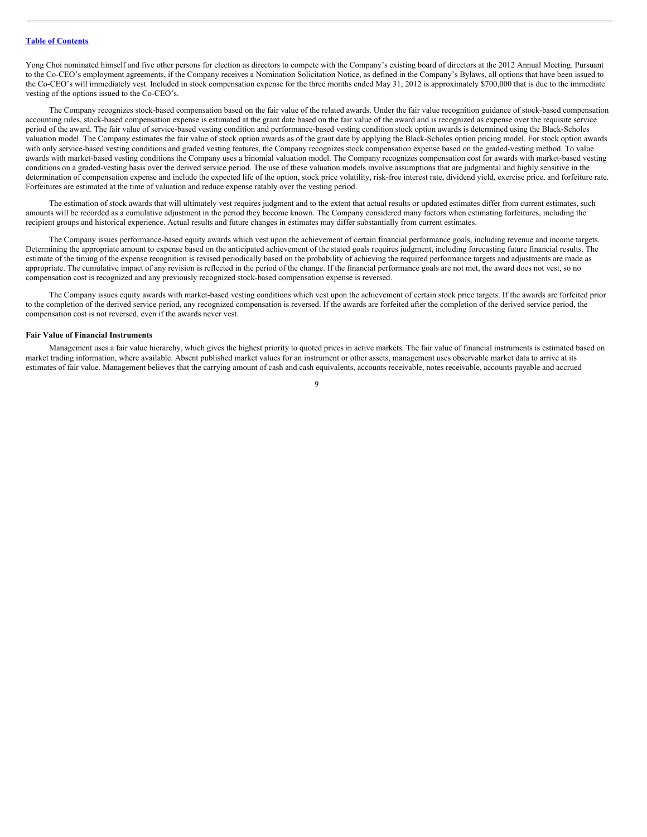Yong Choi nominated himself and five other persons for election as directors to compete with the Company's existing board of directors at the 2012 Annual Meeting. Pursuant to the Co-CEO's employment agreements, if the Company receives a Nomination Solicitation Notice, as defined in the Company's Bylaws, all options that have been issued to the Co-CEO's will immediately vest. Included in stock compensation expense for the three months ended May 31, 2012 is approximately \$700,000 that is due to the immediate vesting of the options issued to the Co-CEO's.

The Company recognizes stock-based compensation based on the fair value of the related awards. Under the fair value recognition guidance of stock-based compensation accounting rules, stock-based compensation expense is estimated at the grant date based on the fair value of the award and is recognized as expense over the requisite service period of the award. The fair value of service-based vesting condition and performance-based vesting condition stock option awards is determined using the Black-Scholes valuation model. The Company estimates the fair value of stock option awards as of the grant date by applying the Black-Scholes option pricing model. For stock option awards with only service-based vesting conditions and graded vesting features, the Company recognizes stock compensation expense based on the graded-vesting method. To value awards with market-based vesting conditions the Company uses a binomial valuation model. The Company recognizes compensation cost for awards with market-based vesting conditions on a graded-vesting basis over the derived service period. The use of these valuation models involve assumptions that are judgmental and highly sensitive in the determination of compensation expense and include the expected life of the option, stock price volatility, risk-free interest rate, dividend yield, exercise price, and forfeiture rate. Forfeitures are estimated at the time of valuation and reduce expense ratably over the vesting period.

The estimation of stock awards that will ultimately vest requires judgment and to the extent that actual results or updated estimates differ from current estimates, such amounts will be recorded as a cumulative adjustment in the period they become known. The Company considered many factors when estimating forfeitures, including the recipient groups and historical experience. Actual results and future changes in estimates may differ substantially from current estimates.

The Company issues performance-based equity awards which vest upon the achievement of certain financial performance goals, including revenue and income targets. Determining the appropriate amount to expense based on the anticipated achievement of the stated goals requires judgment, including forecasting future financial results. The estimate of the timing of the expense recognition is revised periodically based on the probability of achieving the required performance targets and adjustments are made as appropriate. The cumulative impact of any revision is reflected in the period of the change. If the financial performance goals are not met, the award does not vest, so no compensation cost is recognized and any previously recognized stock-based compensation expense is reversed.

The Company issues equity awards with market-based vesting conditions which vest upon the achievement of certain stock price targets. If the awards are forfeited prior to the completion of the derived service period, any recognized compensation is reversed. If the awards are forfeited after the completion of the derived service period, the compensation cost is not reversed, even if the awards never vest.

#### **Fair Value of Financial Instruments**

Management uses a fair value hierarchy, which gives the highest priority to quoted prices in active markets. The fair value of financial instruments is estimated based on market trading information, where available. Absent published market values for an instrument or other assets, management uses observable market data to arrive at its estimates of fair value. Management believes that the carrying amount of cash and cash equivalents, accounts receivable, notes receivable, accounts payable and accrued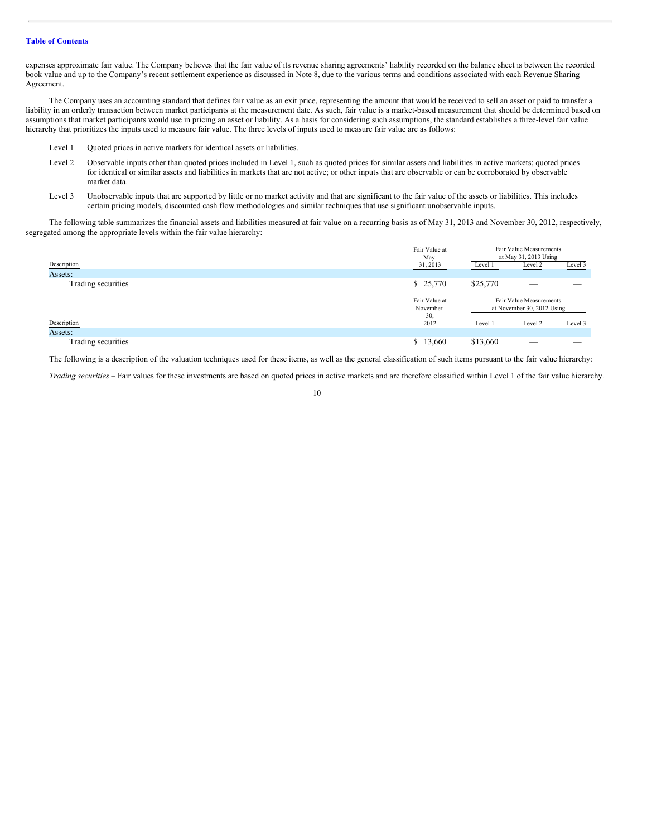expenses approximate fair value. The Company believes that the fair value of its revenue sharing agreements' liability recorded on the balance sheet is between the recorded book value and up to the Company's recent settlement experience as discussed in Note 8, due to the various terms and conditions associated with each Revenue Sharing Agreement.

The Company uses an accounting standard that defines fair value as an exit price, representing the amount that would be received to sell an asset or paid to transfer a liability in an orderly transaction between market participants at the measurement date. As such, fair value is a market-based measurement that should be determined based on assumptions that market participants would use in pricing an asset or liability. As a basis for considering such assumptions, the standard establishes a three-level fair value hierarchy that prioritizes the inputs used to measure fair value. The three levels of inputs used to measure fair value are as follows:

- Level 1 Quoted prices in active markets for identical assets or liabilities.
- Level 2 Observable inputs other than quoted prices included in Level 1, such as quoted prices for similar assets and liabilities in active markets; quoted prices for identical or similar assets and liabilities in markets that are not active; or other inputs that are observable or can be corroborated by observable market data.
- Level 3 Unobservable inputs that are supported by little or no market activity and that are significant to the fair value of the assets or liabilities. This includes certain pricing models, discounted cash flow methodologies and similar techniques that use significant unobservable inputs.

The following table summarizes the financial assets and liabilities measured at fair value on a recurring basis as of May 31, 2013 and November 30, 2012, respectively, segregated among the appropriate levels within the fair value hierarchy:

|                    | Fair Value at<br>May      | Fair Value Measurements<br>at May 31, 2013 Using |                                                       |         |
|--------------------|---------------------------|--------------------------------------------------|-------------------------------------------------------|---------|
| Description        | 31, 2013                  | Level 1                                          | Level 2                                               | Level 3 |
| Assets:            |                           |                                                  |                                                       |         |
| Trading securities | \$ 25,770                 | \$25,770                                         | _                                                     |         |
|                    | Fair Value at<br>November |                                                  | Fair Value Measurements<br>at November 30, 2012 Using |         |
| Description        | 30,<br>2012               | Level 1                                          | Level 2                                               | Level 3 |
| Assets:            |                           |                                                  |                                                       |         |
| Trading securities | \$13,660                  | \$13,660                                         |                                                       |         |

The following is a description of the valuation techniques used for these items, as well as the general classification of such items pursuant to the fair value hierarchy:

*Trading securities –* Fair values for these investments are based on quoted prices in active markets and are therefore classified within Level 1 of the fair value hierarchy.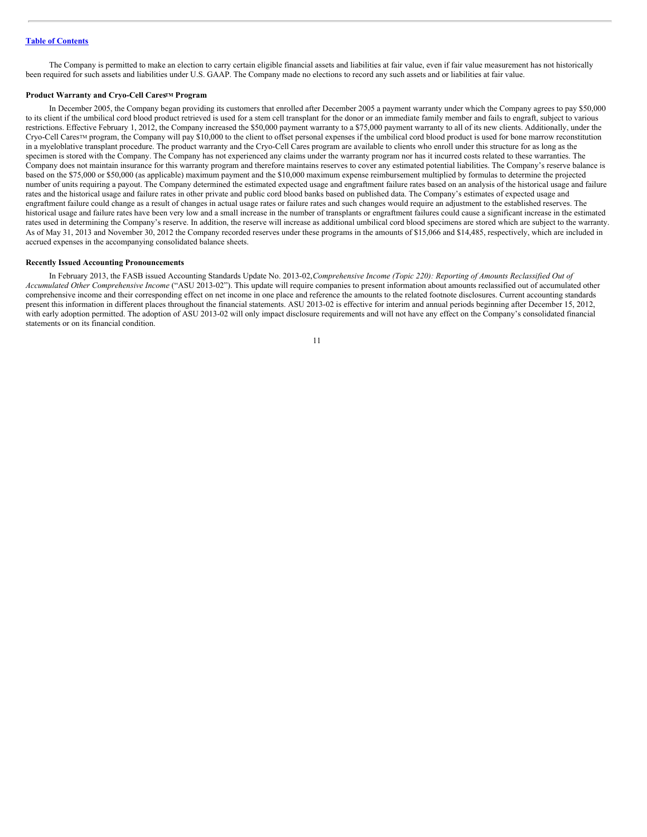The Company is permitted to make an election to carry certain eligible financial assets and liabilities at fair value, even if fair value measurement has not historically been required for such assets and liabilities under U.S. GAAP. The Company made no elections to record any such assets and or liabilities at fair value.

#### **Product Warranty and Cryo-Cell Cares<sup>TM</sup> Program**

In December 2005, the Company began providing its customers that enrolled after December 2005 a payment warranty under which the Company agrees to pay \$50,000 to its client if the umbilical cord blood product retrieved is used for a stem cell transplant for the donor or an immediate family member and fails to engraft, subject to various restrictions. Effective February 1, 2012, the Company increased the \$50,000 payment warranty to a \$75,000 payment warranty to all of its new clients. Additionally, under the Cryo-Cell Cares™ program, the Company will pay \$10,000 to the client to offset personal expenses if the umbilical cord blood product is used for bone marrow reconstitution in a myeloblative transplant procedure. The product warranty and the Cryo-Cell Cares program are available to clients who enroll under this structure for as long as the specimen is stored with the Company. The Company has not experienced any claims under the warranty program nor has it incurred costs related to these warranties. The Company does not maintain insurance for this warranty program and therefore maintains reserves to cover any estimated potential liabilities. The Company's reserve balance is based on the \$75,000 or \$50,000 (as applicable) maximum payment and the \$10,000 maximum expense reimbursement multiplied by formulas to determine the projected number of units requiring a payout. The Company determined the estimated expected usage and engraftment failure rates based on an analysis of the historical usage and failure rates and the historical usage and failure rates in other private and public cord blood banks based on published data. The Company's estimates of expected usage and engraftment failure could change as a result of changes in actual usage rates or failure rates and such changes would require an adjustment to the established reserves. The historical usage and failure rates have been very low and a small increase in the number of transplants or engraftment failures could cause a significant increase in the estimated rates used in determining the Company's reserve. In addition, the reserve will increase as additional umbilical cord blood specimens are stored which are subject to the warranty. As of May 31, 2013 and November 30, 2012 the Company recorded reserves under these programs in the amounts of \$15,066 and \$14,485, respectively, which are included in accrued expenses in the accompanying consolidated balance sheets.

#### **Recently Issued Accounting Pronouncements**

In February 2013, the FASB issued Accounting Standards Update No. 2013-02,*Comprehensive Income (Topic 220): Reporting of Amounts Reclassified Out of Accumulated Other Comprehensive Income* ("ASU 2013-02"). This update will require companies to present information about amounts reclassified out of accumulated other comprehensive income and their corresponding effect on net income in one place and reference the amounts to the related footnote disclosures. Current accounting standards present this information in different places throughout the financial statements. ASU 2013-02 is effective for interim and annual periods beginning after December 15, 2012, with early adoption permitted. The adoption of ASU 2013-02 will only impact disclosure requirements and will not have any effect on the Company's consolidated financial statements or on its financial condition.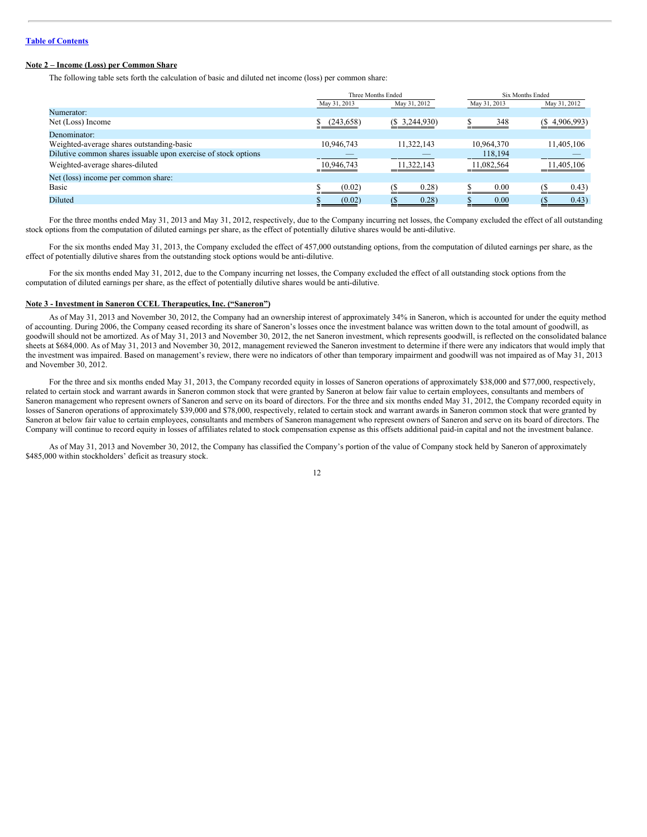# **Note 2 – Income (Loss) per Common Share**

The following table sets forth the calculation of basic and diluted net income (loss) per common share:

|                                                                | Three Months Ended |                |              | <b>Six Months Ended</b> |  |
|----------------------------------------------------------------|--------------------|----------------|--------------|-------------------------|--|
|                                                                | May 31, 2013       | May 31, 2012   | May 31, 2013 | May 31, 2012            |  |
| Numerator:                                                     |                    |                |              |                         |  |
| Net (Loss) Income                                              | (243, 658)         | (S, 3,244,930) | 348          | 4,906,993)<br>ſ\$       |  |
| Denominator:                                                   |                    |                |              |                         |  |
| Weighted-average shares outstanding-basic                      | 10,946,743         | 11,322,143     | 10,964,370   | 11,405,106              |  |
| Dilutive common shares issuable upon exercise of stock options |                    |                | 118,194      |                         |  |
| Weighted-average shares-diluted                                | 10.946.743         | 1.322.143      | 11,082,564   | 11,405,106              |  |
| Net (loss) income per common share:                            |                    |                |              |                         |  |
| Basic                                                          | (0.02)             | 0.28)          | 0.00         | 0.43)                   |  |
| Diluted                                                        | (0.02)             | 0.28)          | 0.00         | (0.43)                  |  |

For the three months ended May 31, 2013 and May 31, 2012, respectively, due to the Company incurring net losses, the Company excluded the effect of all outstanding stock options from the computation of diluted earnings per share, as the effect of potentially dilutive shares would be anti-dilutive.

For the six months ended May 31, 2013, the Company excluded the effect of 457,000 outstanding options, from the computation of diluted earnings per share, as the effect of potentially dilutive shares from the outstanding stock options would be anti-dilutive.

For the six months ended May 31, 2012, due to the Company incurring net losses, the Company excluded the effect of all outstanding stock options from the computation of diluted earnings per share, as the effect of potentially dilutive shares would be anti-dilutive.

#### **Note 3 - Investment in Saneron CCEL Therapeutics, Inc. ("Saneron")**

As of May 31, 2013 and November 30, 2012, the Company had an ownership interest of approximately 34% in Saneron, which is accounted for under the equity method of accounting. During 2006, the Company ceased recording its share of Saneron's losses once the investment balance was written down to the total amount of goodwill, as goodwill should not be amortized. As of May 31, 2013 and November 30, 2012, the net Saneron investment, which represents goodwill, is reflected on the consolidated balance sheets at \$684,000. As of May 31, 2013 and November 30, 2012, management reviewed the Saneron investment to determine if there were any indicators that would imply that the investment was impaired. Based on management's review, there were no indicators of other than temporary impairment and goodwill was not impaired as of May 31, 2013 and November 30, 2012.

For the three and six months ended May 31, 2013, the Company recorded equity in losses of Saneron operations of approximately \$38,000 and \$77,000, respectively, related to certain stock and warrant awards in Saneron common stock that were granted by Saneron at below fair value to certain employees, consultants and members of Saneron management who represent owners of Saneron and serve on its board of directors. For the three and six months ended May 31, 2012, the Company recorded equity in losses of Saneron operations of approximately \$39,000 and \$78,000, respectively, related to certain stock and warrant awards in Saneron common stock that were granted by Saneron at below fair value to certain employees, consultants and members of Saneron management who represent owners of Saneron and serve on its board of directors. The Company will continue to record equity in losses of affiliates related to stock compensation expense as this offsets additional paid-in capital and not the investment balance.

As of May 31, 2013 and November 30, 2012, the Company has classified the Company's portion of the value of Company stock held by Saneron of approximately \$485,000 within stockholders' deficit as treasury stock.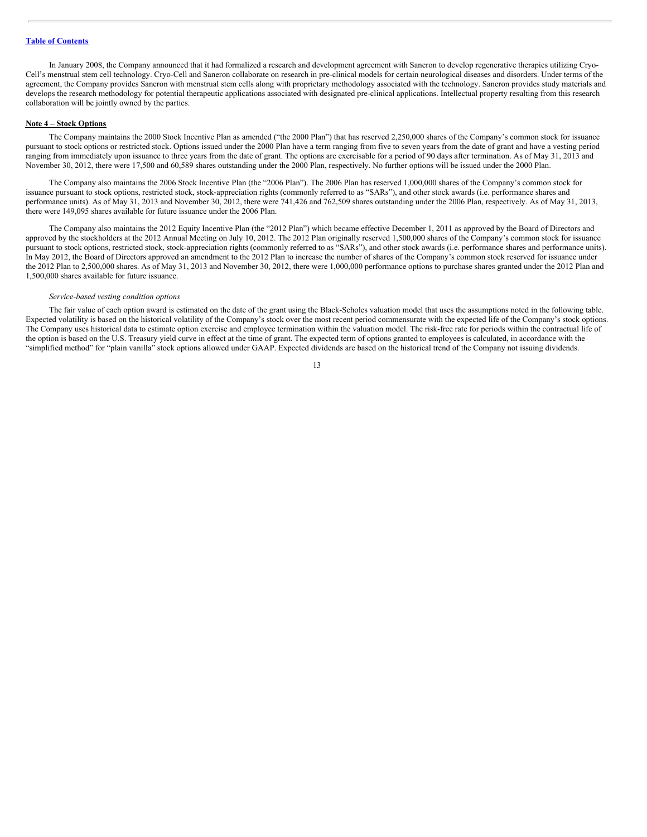In January 2008, the Company announced that it had formalized a research and development agreement with Saneron to develop regenerative therapies utilizing Cryo-Cell's menstrual stem cell technology. Cryo-Cell and Saneron collaborate on research in pre-clinical models for certain neurological diseases and disorders. Under terms of the agreement, the Company provides Saneron with menstrual stem cells along with proprietary methodology associated with the technology. Saneron provides study materials and develops the research methodology for potential therapeutic applications associated with designated pre-clinical applications. Intellectual property resulting from this research collaboration will be jointly owned by the parties.

#### **Note 4 – Stock Options**

The Company maintains the 2000 Stock Incentive Plan as amended ("the 2000 Plan") that has reserved 2,250,000 shares of the Company's common stock for issuance pursuant to stock options or restricted stock. Options issued under the 2000 Plan have a term ranging from five to seven years from the date of grant and have a vesting period ranging from immediately upon issuance to three years from the date of grant. The options are exercisable for a period of 90 days after termination. As of May 31, 2013 and November 30, 2012, there were 17,500 and 60,589 shares outstanding under the 2000 Plan, respectively. No further options will be issued under the 2000 Plan.

The Company also maintains the 2006 Stock Incentive Plan (the "2006 Plan"). The 2006 Plan has reserved 1,000,000 shares of the Company's common stock for issuance pursuant to stock options, restricted stock, stock-appreciation rights (commonly referred to as "SARs"), and other stock awards (i.e. performance shares and performance units). As of May 31, 2013 and November 30, 2012, there were 741,426 and 762,509 shares outstanding under the 2006 Plan, respectively. As of May 31, 2013, there were 149,095 shares available for future issuance under the 2006 Plan.

The Company also maintains the 2012 Equity Incentive Plan (the "2012 Plan") which became effective December 1, 2011 as approved by the Board of Directors and approved by the stockholders at the 2012 Annual Meeting on July 10, 2012. The 2012 Plan originally reserved 1,500,000 shares of the Company's common stock for issuance pursuant to stock options, restricted stock, stock-appreciation rights (commonly referred to as "SARs"), and other stock awards (i.e. performance shares and performance units). In May 2012, the Board of Directors approved an amendment to the 2012 Plan to increase the number of shares of the Company's common stock reserved for issuance under the 2012 Plan to 2,500,000 shares. As of May 31, 2013 and November 30, 2012, there were 1,000,000 performance options to purchase shares granted under the 2012 Plan and 1,500,000 shares available for future issuance.

#### *Service-based vesting condition options*

The fair value of each option award is estimated on the date of the grant using the Black-Scholes valuation model that uses the assumptions noted in the following table. Expected volatility is based on the historical volatility of the Company's stock over the most recent period commensurate with the expected life of the Company's stock options. The Company uses historical data to estimate option exercise and employee termination within the valuation model. The risk-free rate for periods within the contractual life of the option is based on the U.S. Treasury yield curve in effect at the time of grant. The expected term of options granted to employees is calculated, in accordance with the "simplified method" for "plain vanilla" stock options allowed under GAAP. Expected dividends are based on the historical trend of the Company not issuing dividends.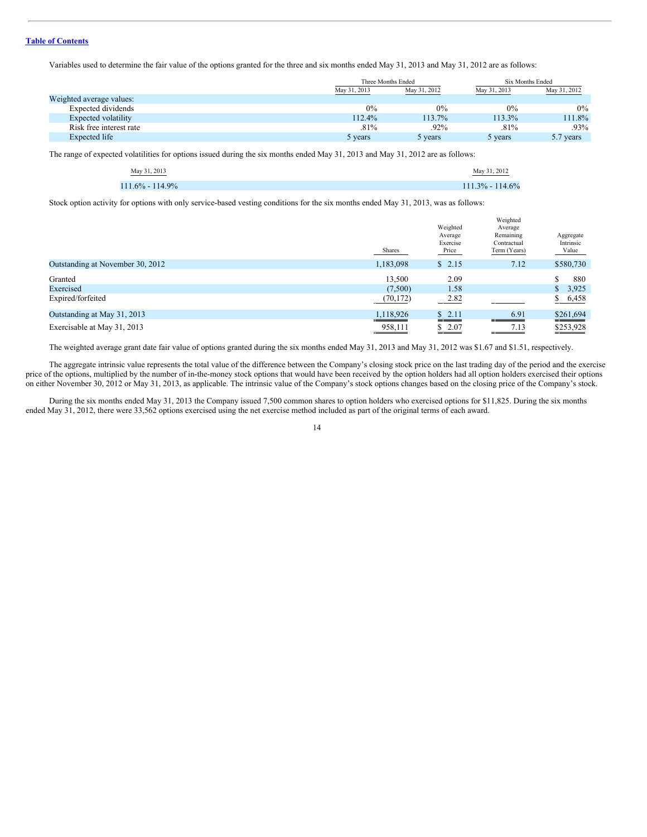Variables used to determine the fair value of the options granted for the three and six months ended May 31, 2013 and May 31, 2012 are as follows:

|                          |              | Three Months Ended |         | Six Months Ended |
|--------------------------|--------------|--------------------|---------|------------------|
|                          | May 31, 2013 | May 31, 2012       |         | May 31, 2012     |
| Weighted average values: |              |                    |         |                  |
| Expected dividends       | 0%           | $0\%$              | 0%      | $0\%$            |
| Expected volatility      | 112.4%       | 113.7%             | 113.3%  | 111.8%           |
| Risk free interest rate  | .81%         | .92%               | .81%    | .93%             |
| Expected life            | 5 years      | 5 years            | b years | 5.7 years        |

The range of expected volatilities for options issued during the six months ended May 31, 2013 and May 31, 2012 are as follows:

| May 31, 2013             | .2012<br>May. <sup>2</sup> |
|--------------------------|----------------------------|
| $114.9\%$<br>$111.6\%$ - | $30/2$ –                   |

Stock option activity for options with only service-based vesting conditions for the six months ended May 31, 2013, was as follows:

|                                  | Shares              | Weighted<br>Average<br>Exercise<br>Price | Weighted<br>Average<br>Remaining<br>Contractual<br>Term (Years) | Aggregate<br>Intrinsic<br>Value |
|----------------------------------|---------------------|------------------------------------------|-----------------------------------------------------------------|---------------------------------|
| Outstanding at November 30, 2012 | 1,183,098           | \$2.15                                   | 7.12                                                            | \$580,730                       |
| Granted                          | 13.500              | 2.09                                     |                                                                 | 880                             |
| Exercised                        | (7,500)             | 1.58                                     |                                                                 | 3,925<br>\$                     |
| Expired/forfeited                | (70, 172)           | 2.82                                     |                                                                 | \$6,458                         |
| Outstanding at May 31, 2013      | 1,118,926           | \$2.11                                   | 6.91                                                            | \$261,694                       |
| Exercisable at May 31, 2013      | $\frac{958,111}{2}$ | \$2.07<br>====                           | 7.13                                                            | \$253,928                       |

The weighted average grant date fair value of options granted during the six months ended May 31, 2013 and May 31, 2012 was \$1.67 and \$1.51, respectively.

The aggregate intrinsic value represents the total value of the difference between the Company's closing stock price on the last trading day of the period and the exercise price of the options, multiplied by the number of in-the-money stock options that would have been received by the option holders had all option holders exercised their options on either November 30, 2012 or May 31, 2013, as applicable. The intrinsic value of the Company's stock options changes based on the closing price of the Company's stock.

During the six months ended May 31, 2013 the Company issued 7,500 common shares to option holders who exercised options for \$11,825. During the six months ended May 31, 2012, there were 33,562 options exercised using the net exercise method included as part of the original terms of each award.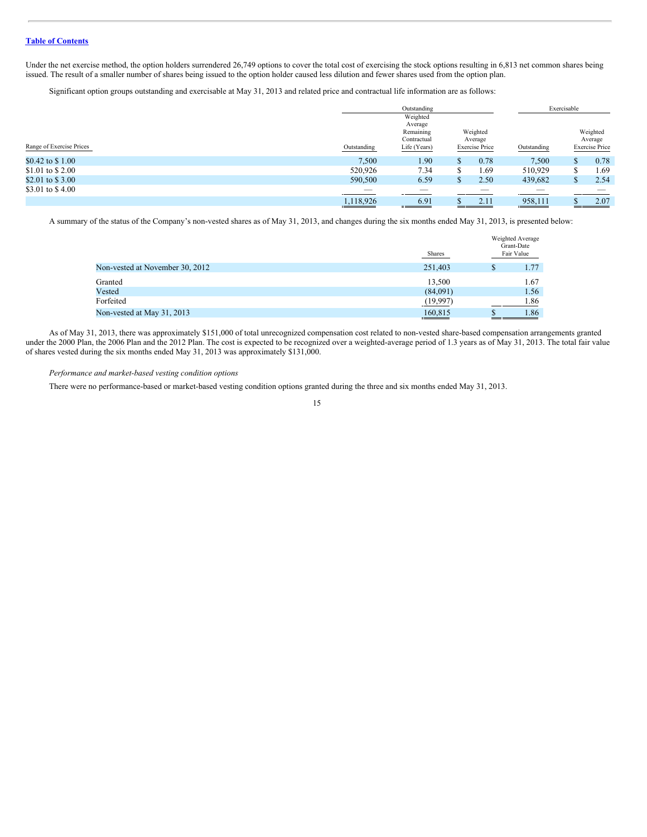Under the net exercise method, the option holders surrendered 26,749 options to cover the total cost of exercising the stock options resulting in 6,813 net common shares being issued. The result of a smaller number of shares being issued to the option holder caused less dilution and fewer shares used from the option plan.

Significant option groups outstanding and exercisable at May 31, 2013 and related price and contractual life information are as follows:

|                          |             | Outstanding                                                     |    |                                              | Exercisable |     |                                              |
|--------------------------|-------------|-----------------------------------------------------------------|----|----------------------------------------------|-------------|-----|----------------------------------------------|
| Range of Exercise Prices | Outstanding | Weighted<br>Average<br>Remaining<br>Contractual<br>Life (Years) |    | Weighted<br>Average<br><b>Exercise Price</b> | Outstanding |     | Weighted<br>Average<br><b>Exercise Price</b> |
| \$0.42 to \$1.00         | 7,500       | 1.90                                                            | N. | 0.78                                         | 7,500       | \$. | 0.78                                         |
| \$1.01 to \$2.00         | 520,926     | 7.34                                                            |    | 1.69                                         | 510.929     |     | 1.69                                         |
| \$2.01 to \$3.00         | 590,500     | 6.59                                                            |    | 2.50                                         | 439,682     | S   | 2.54                                         |
| \$3.01 to \$4.00         |             |                                                                 |    |                                              |             |     |                                              |
|                          | 1,118,926   | 6.91<br><b>Contract Contract Contract Contract</b>              |    | 2.11<br>_____                                | 958,111     |     | 2.07                                         |

A summary of the status of the Company's non-vested shares as of May 31, 2013, and changes during the six months ended May 31, 2013, is presented below:

|                                 | Shares   |    | Weighted Average<br>Grant-Date<br>Fair Value |
|---------------------------------|----------|----|----------------------------------------------|
| Non-vested at November 30, 2012 | 251,403  | \$ | 1.77                                         |
| Granted                         | 13,500   |    | 1.67                                         |
| Vested                          | (84,091) |    | 1.56                                         |
| Forfeited                       | (19,997) |    | 1.86                                         |
| Non-vested at May 31, 2013      | 160,815  | S  | 1.86                                         |

As of May 31, 2013, there was approximately \$151,000 of total unrecognized compensation cost related to non-vested share-based compensation arrangements granted under the 2000 Plan, the 2006 Plan and the 2012 Plan. The cost is expected to be recognized over a weighted-average period of 1.3 years as of May 31, 2013. The total fair value of shares vested during the six months ended May 31, 2013 was approximately \$131,000.

*Performance and market-based vesting condition options*

There were no performance-based or market-based vesting condition options granted during the three and six months ended May 31, 2013.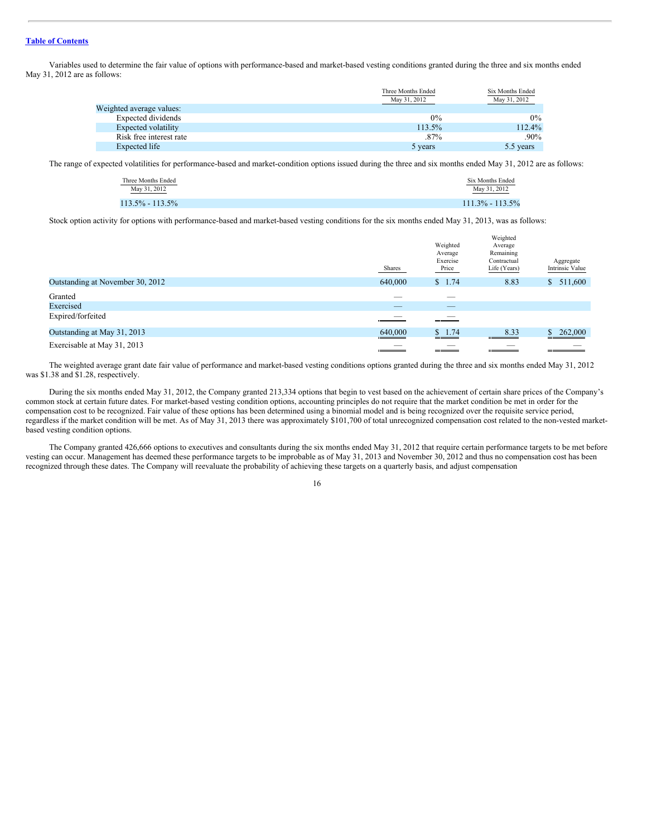Variables used to determine the fair value of options with performance-based and market-based vesting conditions granted during the three and six months ended May 31, 2012 are as follows:

|                          | Three Months Ended<br>May 31, 2012 | <b>Six Months Ended</b><br>May 31, 2012 |
|--------------------------|------------------------------------|-----------------------------------------|
| Weighted average values: |                                    |                                         |
| Expected dividends       | $0\%$                              | $0\%$                                   |
| Expected volatility      | 113.5%                             | 112.4%                                  |
| Risk free interest rate  | .87%                               | .90%                                    |
| Expected life            | 5 years                            | 5.5 years                               |

The range of expected volatilities for performance-based and market-condition options issued during the three and six months ended May 31, 2012 are as follows:

| Three Months Ended  | <b>Six Months Ended</b> |
|---------------------|-------------------------|
| May 31, 2012        | May 31, 2012            |
| $113.5\% - 113.5\%$ | $111.3\% - 113.5\%$     |

Stock option activity for options with performance-based and market-based vesting conditions for the six months ended May 31, 2013, was as follows:

|                                  | Shares  | Weighted<br>Average<br>Exercise<br>Price | Weighted<br>Average<br>Remaining<br>Contractual<br>Life (Years) | Aggregate<br>Intrinsic Value |
|----------------------------------|---------|------------------------------------------|-----------------------------------------------------------------|------------------------------|
| Outstanding at November 30, 2012 | 640,000 | \$1.74                                   | 8.83                                                            | 511,600<br>S                 |
| Granted                          |         |                                          |                                                                 |                              |
| Exercised                        | _       | _                                        |                                                                 |                              |
| Expired/forfeited                |         |                                          |                                                                 |                              |
| Outstanding at May 31, 2013      | 640,000 | \$1.74                                   | 8.33                                                            | \$262,000                    |
| Exercisable at May 31, 2013      |         |                                          |                                                                 |                              |

The weighted average grant date fair value of performance and market-based vesting conditions options granted during the three and six months ended May 31, 2012 was \$1.38 and \$1.28, respectively.

During the six months ended May 31, 2012, the Company granted 213,334 options that begin to vest based on the achievement of certain share prices of the Company's common stock at certain future dates. For market-based vesting condition options, accounting principles do not require that the market condition be met in order for the compensation cost to be recognized. Fair value of these options has been determined using a binomial model and is being recognized over the requisite service period, regardless if the market condition will be met. As of May 31, 2013 there was approximately \$101,700 of total unrecognized compensation cost related to the non-vested marketbased vesting condition options.

The Company granted 426,666 options to executives and consultants during the six months ended May 31, 2012 that require certain performance targets to be met before vesting can occur. Management has deemed these performance targets to be improbable as of May 31, 2013 and November 30, 2012 and thus no compensation cost has been recognized through these dates. The Company will reevaluate the probability of achieving these targets on a quarterly basis, and adjust compensation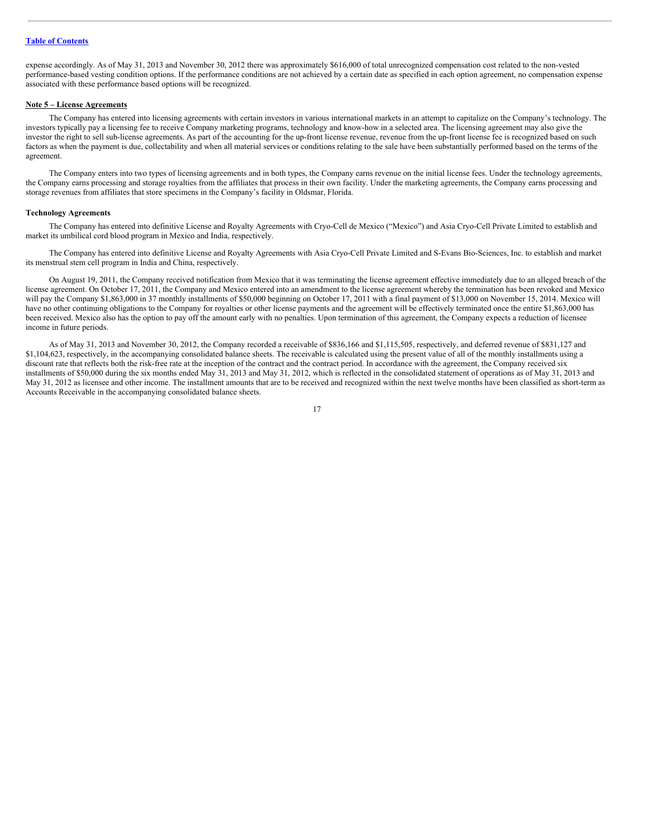expense accordingly. As of May 31, 2013 and November 30, 2012 there was approximately \$616,000 of total unrecognized compensation cost related to the non-vested performance-based vesting condition options. If the performance conditions are not achieved by a certain date as specified in each option agreement, no compensation expense associated with these performance based options will be recognized.

#### **Note 5 – License Agreements**

The Company has entered into licensing agreements with certain investors in various international markets in an attempt to capitalize on the Company's technology. The investors typically pay a licensing fee to receive Company marketing programs, technology and know-how in a selected area. The licensing agreement may also give the investor the right to sell sub-license agreements. As part of the accounting for the up-front license revenue, revenue from the up-front license fee is recognized based on such factors as when the payment is due, collectability and when all material services or conditions relating to the sale have been substantially performed based on the terms of the agreement.

The Company enters into two types of licensing agreements and in both types, the Company earns revenue on the initial license fees. Under the technology agreements, the Company earns processing and storage royalties from the affiliates that process in their own facility. Under the marketing agreements, the Company earns processing and storage revenues from affiliates that store specimens in the Company's facility in Oldsmar, Florida.

#### **Technology Agreements**

The Company has entered into definitive License and Royalty Agreements with Cryo-Cell de Mexico ("Mexico") and Asia Cryo-Cell Private Limited to establish and market its umbilical cord blood program in Mexico and India, respectively.

The Company has entered into definitive License and Royalty Agreements with Asia Cryo-Cell Private Limited and S-Evans Bio-Sciences, Inc. to establish and market its menstrual stem cell program in India and China, respectively.

On August 19, 2011, the Company received notification from Mexico that it was terminating the license agreement effective immediately due to an alleged breach of the license agreement. On October 17, 2011, the Company and Mexico entered into an amendment to the license agreement whereby the termination has been revoked and Mexico will pay the Company \$1,863,000 in 37 monthly installments of \$50,000 beginning on October 17, 2011 with a final payment of \$13,000 on November 15, 2014. Mexico will have no other continuing obligations to the Company for royalties or other license payments and the agreement will be effectively terminated once the entire \$1,863,000 has been received. Mexico also has the option to pay off the amount early with no penalties. Upon termination of this agreement, the Company expects a reduction of licensee income in future periods.

As of May 31, 2013 and November 30, 2012, the Company recorded a receivable of \$836,166 and \$1,115,505, respectively, and deferred revenue of \$831,127 and \$1,104,623, respectively, in the accompanying consolidated balance sheets. The receivable is calculated using the present value of all of the monthly installments using a discount rate that reflects both the risk-free rate at the inception of the contract and the contract period. In accordance with the agreement, the Company received six installments of \$50,000 during the six months ended May 31, 2013 and May 31, 2012, which is reflected in the consolidated statement of operations as of May 31, 2013 and May 31, 2012 as licensee and other income. The installment amounts that are to be received and recognized within the next twelve months have been classified as short-term as Accounts Receivable in the accompanying consolidated balance sheets.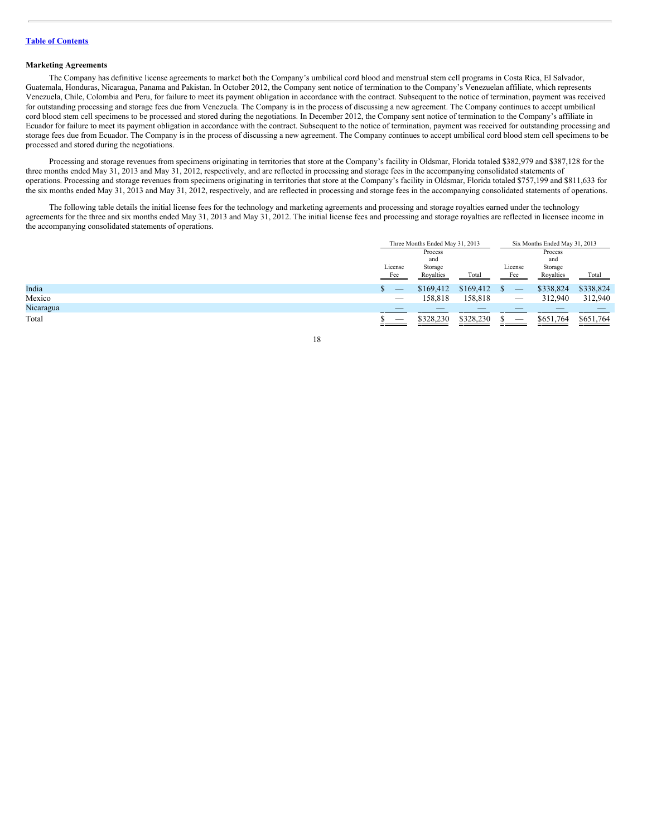#### **Marketing Agreements**

The Company has definitive license agreements to market both the Company's umbilical cord blood and menstrual stem cell programs in Costa Rica, El Salvador, Guatemala, Honduras, Nicaragua, Panama and Pakistan. In October 2012, the Company sent notice of termination to the Company's Venezuelan affiliate, which represents Venezuela, Chile, Colombia and Peru, for failure to meet its payment obligation in accordance with the contract. Subsequent to the notice of termination, payment was received for outstanding processing and storage fees due from Venezuela. The Company is in the process of discussing a new agreement. The Company continues to accept umbilical cord blood stem cell specimens to be processed and stored during the negotiations. In December 2012, the Company sent notice of termination to the Company's affiliate in Ecuador for failure to meet its payment obligation in accordance with the contract. Subsequent to the notice of termination, payment was received for outstanding processing and storage fees due from Ecuador. The Company is in the process of discussing a new agreement. The Company continues to accept umbilical cord blood stem cell specimens to be processed and stored during the negotiations.

Processing and storage revenues from specimens originating in territories that store at the Company's facility in Oldsmar, Florida totaled \$382,979 and \$387,128 for the three months ended May 31, 2013 and May 31, 2012, respectively, and are reflected in processing and storage fees in the accompanying consolidated statements of operations. Processing and storage revenues from specimens originating in territories that store at the Company's facility in Oldsmar, Florida totaled \$757,199 and \$811,633 for the six months ended May 31, 2013 and May 31, 2012, respectively, and are reflected in processing and storage fees in the accompanying consolidated statements of operations.

The following table details the initial license fees for the technology and marketing agreements and processing and storage royalties earned under the technology agreements for the three and six months ended May 31, 2013 and May 31, 2012. The initial license fees and processing and storage royalties are reflected in licensee income in the accompanying consolidated statements of operations.

|           | Three Months Ended May 31, 2013      |           |                 | Six Months Ended May 31, 2013   |           |           |
|-----------|--------------------------------------|-----------|-----------------|---------------------------------|-----------|-----------|
|           | Process                              |           |                 | Process                         |           |           |
|           | and                                  |           | and             |                                 |           |           |
|           | License                              | Storage   |                 | License                         | Storage   |           |
|           | Fee                                  | Royalties | Total           | Fee                             | Royalties | Total     |
| India     | ъ<br>$\hspace{0.1mm}-\hspace{0.1mm}$ | \$169,412 | $$169,412$ \ \$ | $\hspace{0.1mm}-\hspace{0.1mm}$ | \$338,824 | \$338,824 |
| Mexico    | $\overbrace{\hspace{25mm}}^{}$       | 158,818   | 158,818         | $\hspace{0.1mm}-\hspace{0.1mm}$ | 312,940   | 312,940   |
| Nicaragua |                                      |           |                 |                                 |           |           |
| Total     | $\overline{\phantom{a}}$             | \$328,230 | \$328,230       | $\hspace{0.1mm}-\hspace{0.1mm}$ | \$651,764 | \$651,764 |

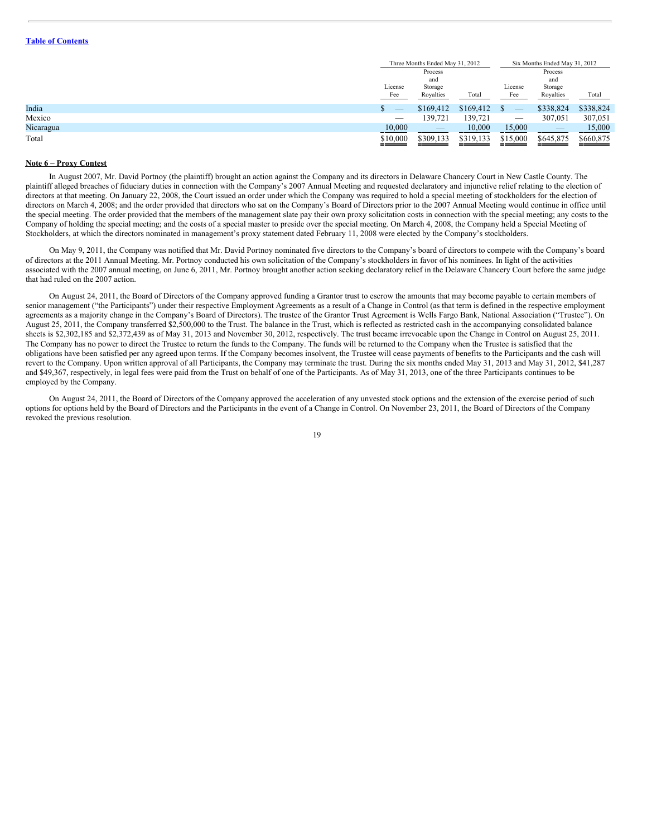|           |                                | Three Months Ended May 31, 2012 |           |                                 | Six Months Ended May 31, 2012 |           |
|-----------|--------------------------------|---------------------------------|-----------|---------------------------------|-------------------------------|-----------|
|           | Process                        |                                 | Process   |                                 |                               |           |
|           | and                            |                                 | and       |                                 |                               |           |
|           | License                        | Storage                         |           | License                         | Storage                       |           |
|           | Fee                            | Royalties                       | Total     | Fee                             | Royalties                     | Total     |
| India     | $\overline{\phantom{a}}$<br>۰D | \$169,412                       | \$169,412 | $\hspace{0.1mm}-\hspace{0.1mm}$ | \$338,824                     | \$338,824 |
| Mexico    |                                | 139.721                         | 139,721   | $\overbrace{\phantom{12333}}$   | 307,051                       | 307,051   |
| Nicaragua | 10,000                         | $\overline{\phantom{m}}$        | 10,000    | 15,000                          | $\overline{\phantom{m}}$      | 15,000    |
| Total     | \$10,000                       | \$309,133                       | \$319,133 | \$15,000                        | \$645,875                     | \$660,875 |

#### **Note 6 – Proxy Contest**

In August 2007, Mr. David Portnoy (the plaintiff) brought an action against the Company and its directors in Delaware Chancery Court in New Castle County. The plaintiff alleged breaches of fiduciary duties in connection with the Company's 2007 Annual Meeting and requested declaratory and injunctive relief relating to the election of directors at that meeting. On January 22, 2008, the Court issued an order under which the Company was required to hold a special meeting of stockholders for the election of directors on March 4, 2008; and the order provided that directors who sat on the Company's Board of Directors prior to the 2007 Annual Meeting would continue in office until the special meeting. The order provided that the members of the management slate pay their own proxy solicitation costs in connection with the special meeting; any costs to the Company of holding the special meeting; and the costs of a special master to preside over the special meeting. On March 4, 2008, the Company held a Special Meeting of Stockholders, at which the directors nominated in management's proxy statement dated February 11, 2008 were elected by the Company's stockholders.

On May 9, 2011, the Company was notified that Mr. David Portnoy nominated five directors to the Company's board of directors to compete with the Company's board of directors at the 2011 Annual Meeting. Mr. Portnoy conducted his own solicitation of the Company's stockholders in favor of his nominees. In light of the activities associated with the 2007 annual meeting, on June 6, 2011, Mr. Portnoy brought another action seeking declaratory relief in the Delaware Chancery Court before the same judge that had ruled on the 2007 action.

On August 24, 2011, the Board of Directors of the Company approved funding a Grantor trust to escrow the amounts that may become payable to certain members of senior management ("the Participants") under their respective Employment Agreements as a result of a Change in Control (as that term is defined in the respective employment agreements as a majority change in the Company's Board of Directors). The trustee of the Grantor Trust Agreement is Wells Fargo Bank, National Association ("Trustee"). On August 25, 2011, the Company transferred \$2,500,000 to the Trust. The balance in the Trust, which is reflected as restricted cash in the accompanying consolidated balance sheets is \$2,302,185 and \$2,372,439 as of May 31, 2013 and November 30, 2012, respectively. The trust became irrevocable upon the Change in Control on August 25, 2011. The Company has no power to direct the Trustee to return the funds to the Company. The funds will be returned to the Company when the Trustee is satisfied that the obligations have been satisfied per any agreed upon terms. If the Company becomes insolvent, the Trustee will cease payments of benefits to the Participants and the cash will revert to the Company. Upon written approval of all Participants, the Company may terminate the trust. During the six months ended May 31, 2013 and May 31, 2012, \$41,287 and \$49,367, respectively, in legal fees were paid from the Trust on behalf of one of the Participants. As of May 31, 2013, one of the three Participants continues to be employed by the Company.

On August 24, 2011, the Board of Directors of the Company approved the acceleration of any unvested stock options and the extension of the exercise period of such options for options held by the Board of Directors and the Participants in the event of a Change in Control. On November 23, 2011, the Board of Directors of the Company revoked the previous resolution.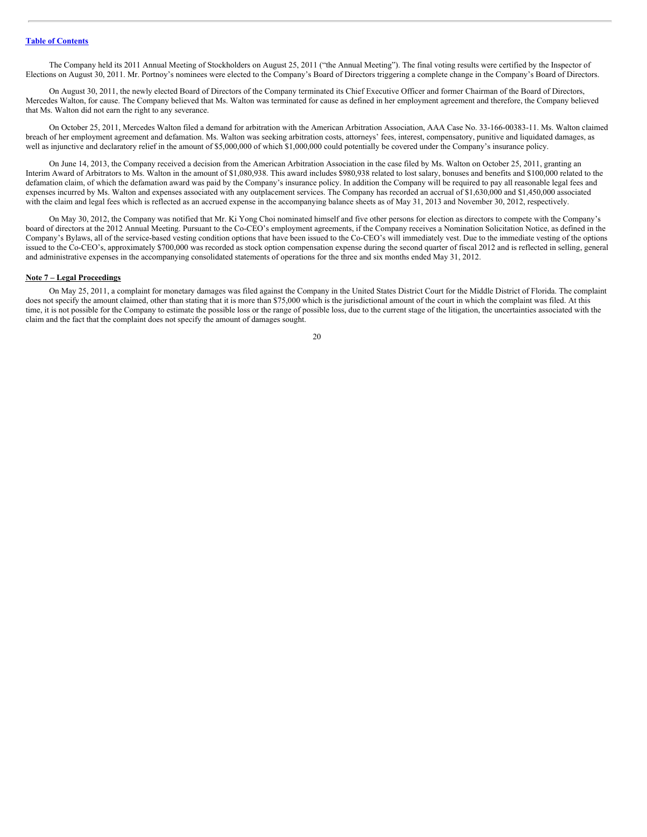The Company held its 2011 Annual Meeting of Stockholders on August 25, 2011 ("the Annual Meeting"). The final voting results were certified by the Inspector of Elections on August 30, 2011. Mr. Portnoy's nominees were elected to the Company's Board of Directors triggering a complete change in the Company's Board of Directors.

On August 30, 2011, the newly elected Board of Directors of the Company terminated its Chief Executive Officer and former Chairman of the Board of Directors, Mercedes Walton, for cause. The Company believed that Ms. Walton was terminated for cause as defined in her employment agreement and therefore, the Company believed that Ms. Walton did not earn the right to any severance.

On October 25, 2011, Mercedes Walton filed a demand for arbitration with the American Arbitration Association, AAA Case No. 33-166-00383-11. Ms. Walton claimed breach of her employment agreement and defamation. Ms. Walton was seeking arbitration costs, attorneys' fees, interest, compensatory, punitive and liquidated damages, as well as injunctive and declaratory relief in the amount of \$5,000,000 of which \$1,000,000 could potentially be covered under the Company's insurance policy.

On June 14, 2013, the Company received a decision from the American Arbitration Association in the case filed by Ms. Walton on October 25, 2011, granting an Interim Award of Arbitrators to Ms. Walton in the amount of \$1,080,938. This award includes \$980,938 related to lost salary, bonuses and benefits and \$100,000 related to the defamation claim, of which the defamation award was paid by the Company's insurance policy. In addition the Company will be required to pay all reasonable legal fees and expenses incurred by Ms. Walton and expenses associated with any outplacement services. The Company has recorded an accrual of \$1,630,000 and \$1,450,000 associated with the claim and legal fees which is reflected as an accrued expense in the accompanying balance sheets as of May 31, 2013 and November 30, 2012, respectively.

On May 30, 2012, the Company was notified that Mr. Ki Yong Choi nominated himself and five other persons for election as directors to compete with the Company's board of directors at the 2012 Annual Meeting. Pursuant to the Co-CEO's employment agreements, if the Company receives a Nomination Solicitation Notice, as defined in the Company's Bylaws, all of the service-based vesting condition options that have been issued to the Co-CEO's will immediately vest. Due to the immediate vesting of the options issued to the Co-CEO's, approximately \$700,000 was recorded as stock option compensation expense during the second quarter of fiscal 2012 and is reflected in selling, general and administrative expenses in the accompanying consolidated statements of operations for the three and six months ended May 31, 2012.

# **Note 7 – Legal Proceedings**

On May 25, 2011, a complaint for monetary damages was filed against the Company in the United States District Court for the Middle District of Florida. The complaint does not specify the amount claimed, other than stating that it is more than \$75,000 which is the jurisdictional amount of the court in which the complaint was filed. At this time, it is not possible for the Company to estimate the possible loss or the range of possible loss, due to the current stage of the litigation, the uncertainties associated with the claim and the fact that the complaint does not specify the amount of damages sought.

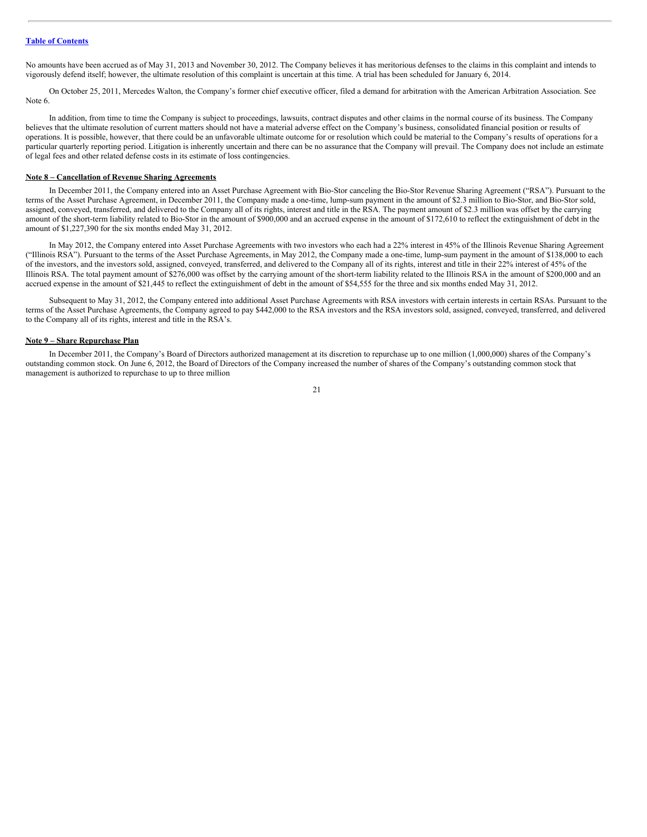No amounts have been accrued as of May 31, 2013 and November 30, 2012. The Company believes it has meritorious defenses to the claims in this complaint and intends to vigorously defend itself; however, the ultimate resolution of this complaint is uncertain at this time. A trial has been scheduled for January 6, 2014.

On October 25, 2011, Mercedes Walton, the Company's former chief executive officer, filed a demand for arbitration with the American Arbitration Association. See Note 6.

In addition, from time to time the Company is subject to proceedings, lawsuits, contract disputes and other claims in the normal course of its business. The Company believes that the ultimate resolution of current matters should not have a material adverse effect on the Company's business, consolidated financial position or results of operations. It is possible, however, that there could be an unfavorable ultimate outcome for or resolution which could be material to the Company's results of operations for a particular quarterly reporting period. Litigation is inherently uncertain and there can be no assurance that the Company will prevail. The Company does not include an estimate of legal fees and other related defense costs in its estimate of loss contingencies.

#### **Note 8 – Cancellation of Revenue Sharing Agreements**

In December 2011, the Company entered into an Asset Purchase Agreement with Bio-Stor canceling the Bio-Stor Revenue Sharing Agreement ("RSA"). Pursuant to the terms of the Asset Purchase Agreement, in December 2011, the Company made a one-time, lump-sum payment in the amount of \$2.3 million to Bio-Stor, and Bio-Stor sold, assigned, conveyed, transferred, and delivered to the Company all of its rights, interest and title in the RSA. The payment amount of \$2.3 million was offset by the carrying amount of the short-term liability related to Bio-Stor in the amount of \$900,000 and an accrued expense in the amount of \$172,610 to reflect the extinguishment of debt in the amount of \$1,227,390 for the six months ended May 31, 2012.

In May 2012, the Company entered into Asset Purchase Agreements with two investors who each had a 22% interest in 45% of the Illinois Revenue Sharing Agreement ("Illinois RSA"). Pursuant to the terms of the Asset Purchase Agreements, in May 2012, the Company made a one-time, lump-sum payment in the amount of \$138,000 to each of the investors, and the investors sold, assigned, conveyed, transferred, and delivered to the Company all of its rights, interest and title in their 22% interest of 45% of the Illinois RSA. The total payment amount of \$276,000 was offset by the carrying amount of the short-term liability related to the Illinois RSA in the amount of \$200,000 and an accrued expense in the amount of \$21,445 to reflect the extinguishment of debt in the amount of \$54,555 for the three and six months ended May 31, 2012.

Subsequent to May 31, 2012, the Company entered into additional Asset Purchase Agreements with RSA investors with certain interests in certain RSAs. Pursuant to the terms of the Asset Purchase Agreements, the Company agreed to pay \$442,000 to the RSA investors and the RSA investors sold, assigned, conveyed, transferred, and delivered to the Company all of its rights, interest and title in the RSA's.

#### **Note 9 – Share Repurchase Plan**

In December 2011, the Company's Board of Directors authorized management at its discretion to repurchase up to one million (1,000,000) shares of the Company's outstanding common stock. On June 6, 2012, the Board of Directors of the Company increased the number of shares of the Company's outstanding common stock that management is authorized to repurchase to up to three million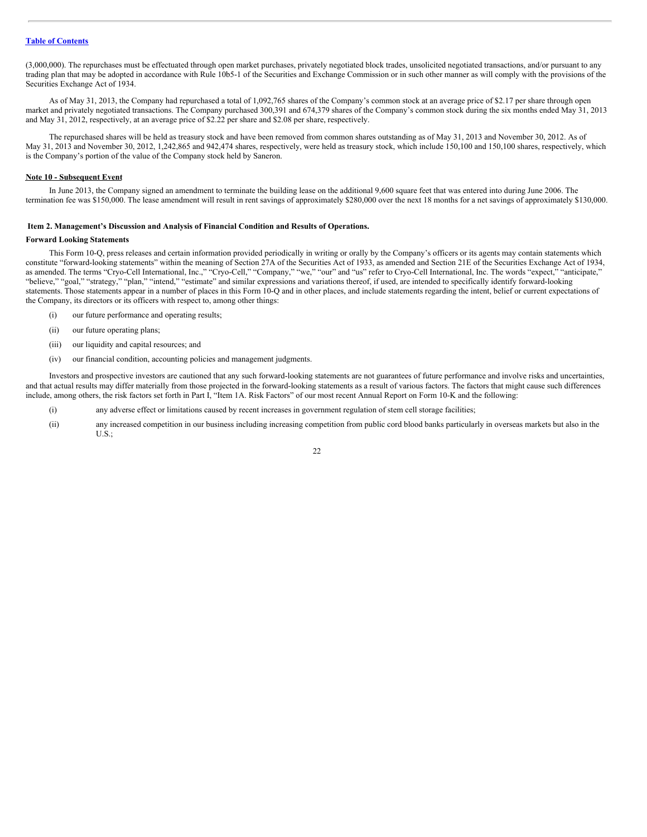(3,000,000). The repurchases must be effectuated through open market purchases, privately negotiated block trades, unsolicited negotiated transactions, and/or pursuant to any trading plan that may be adopted in accordance with Rule 10b5-1 of the Securities and Exchange Commission or in such other manner as will comply with the provisions of the Securities Exchange Act of 1934.

As of May 31, 2013, the Company had repurchased a total of 1,092,765 shares of the Company's common stock at an average price of \$2.17 per share through open market and privately negotiated transactions. The Company purchased 300,391 and 674,379 shares of the Company's common stock during the six months ended May 31, 2013 and May 31, 2012, respectively, at an average price of \$2.22 per share and \$2.08 per share, respectively.

The repurchased shares will be held as treasury stock and have been removed from common shares outstanding as of May 31, 2013 and November 30, 2012. As of May 31, 2013 and November 30, 2012, 1,242,865 and 942,474 shares, respectively, were held as treasury stock, which include 150,100 and 150,100 shares, respectively, which is the Company's portion of the value of the Company stock held by Saneron.

#### **Note 10 - Subsequent Event**

In June 2013, the Company signed an amendment to terminate the building lease on the additional 9,600 square feet that was entered into during June 2006. The termination fee was \$150,000. The lease amendment will result in rent savings of approximately \$280,000 over the next 18 months for a net savings of approximately \$130,000.

#### <span id="page-21-0"></span>**Item 2. Management's Discussion and Analysis of Financial Condition and Results of Operations.**

#### **Forward Looking Statements**

This Form 10-Q, press releases and certain information provided periodically in writing or orally by the Company's officers or its agents may contain statements which constitute "forward-looking statements" within the meaning of Section 27A of the Securities Act of 1933, as amended and Section 21E of the Securities Exchange Act of 1934, as amended. The terms "Cryo-Cell International, Inc.," "Cryo-Cell," "Company," "we," "our" and "us" refer to Cryo-Cell International, Inc. The words "expect," "anticipate," "believe," "goal," "strategy," "plan," "intend," "estimate" and similar expressions and variations thereof, if used, are intended to specifically identify forward-looking statements. Those statements appear in a number of places in this Form 10-Q and in other places, and include statements regarding the intent, belief or current expectations of the Company, its directors or its officers with respect to, among other things:

- (i) our future performance and operating results;
- (ii) our future operating plans;
- (iii) our liquidity and capital resources; and
- (iv) our financial condition, accounting policies and management judgments.

Investors and prospective investors are cautioned that any such forward-looking statements are not guarantees of future performance and involve risks and uncertainties, and that actual results may differ materially from those projected in the forward-looking statements as a result of various factors. The factors that might cause such differences include, among others, the risk factors set forth in Part I, "Item 1A. Risk Factors" of our most recent Annual Report on Form 10-K and the following:

- (i) any adverse effect or limitations caused by recent increases in government regulation of stem cell storage facilities;
- (ii) any increased competition in our business including increasing competition from public cord blood banks particularly in overseas markets but also in the  $U.S.$

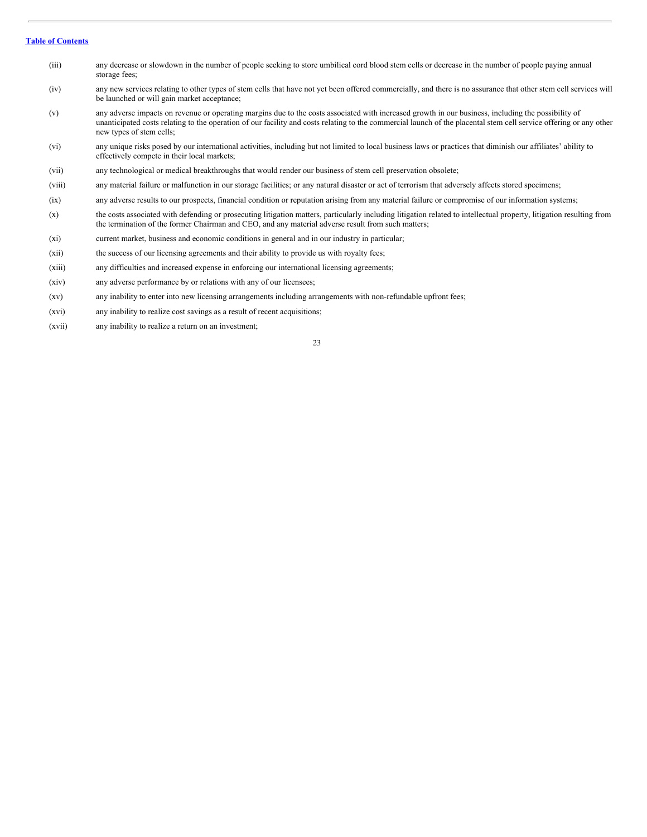| (iii)   | any decrease or slowdown in the number of people seeking to store umbilical cord blood stem cells or decrease in the number of people paying annual<br>storage fees;                                                                                                                                                                                  |
|---------|-------------------------------------------------------------------------------------------------------------------------------------------------------------------------------------------------------------------------------------------------------------------------------------------------------------------------------------------------------|
| (iv)    | any new services relating to other types of stem cells that have not yet been offered commercially, and there is no assurance that other stem cell services will<br>be launched or will gain market acceptance;                                                                                                                                       |
| (v)     | any adverse impacts on revenue or operating margins due to the costs associated with increased growth in our business, including the possibility of<br>unanticipated costs relating to the operation of our facility and costs relating to the commercial launch of the placental stem cell service offering or any other<br>new types of stem cells; |
| (vi)    | any unique risks posed by our international activities, including but not limited to local business laws or practices that diminish our affiliates' ability to<br>effectively compete in their local markets;                                                                                                                                         |
| (vii)   | any technological or medical breakthroughs that would render our business of stem cell preservation obsolete;                                                                                                                                                                                                                                         |
| (viii)  | any material failure or malfunction in our storage facilities; or any natural disaster or act of terrorism that adversely affects stored specimens;                                                                                                                                                                                                   |
| (ix)    | any adverse results to our prospects, financial condition or reputation arising from any material failure or compromise of our information systems;                                                                                                                                                                                                   |
| (x)     | the costs associated with defending or prosecuting litigation matters, particularly including litigation related to intellectual property, litigation resulting from<br>the termination of the former Chairman and CEO, and any material adverse result from such matters;                                                                            |
| $(x_i)$ | current market, business and economic conditions in general and in our industry in particular;                                                                                                                                                                                                                                                        |
| (xii)   | the success of our licensing agreements and their ability to provide us with royalty fees;                                                                                                                                                                                                                                                            |
| (xiii)  | any difficulties and increased expense in enforcing our international licensing agreements;                                                                                                                                                                                                                                                           |
| (xiv)   | any adverse performance by or relations with any of our licensees;                                                                                                                                                                                                                                                                                    |
| (xv)    | any inability to enter into new licensing arrangements including arrangements with non-refundable upfront fees;                                                                                                                                                                                                                                       |

- (xvi) any inability to realize cost savings as a result of recent acquisitions;
- (xvii) any inability to realize a return on an investment;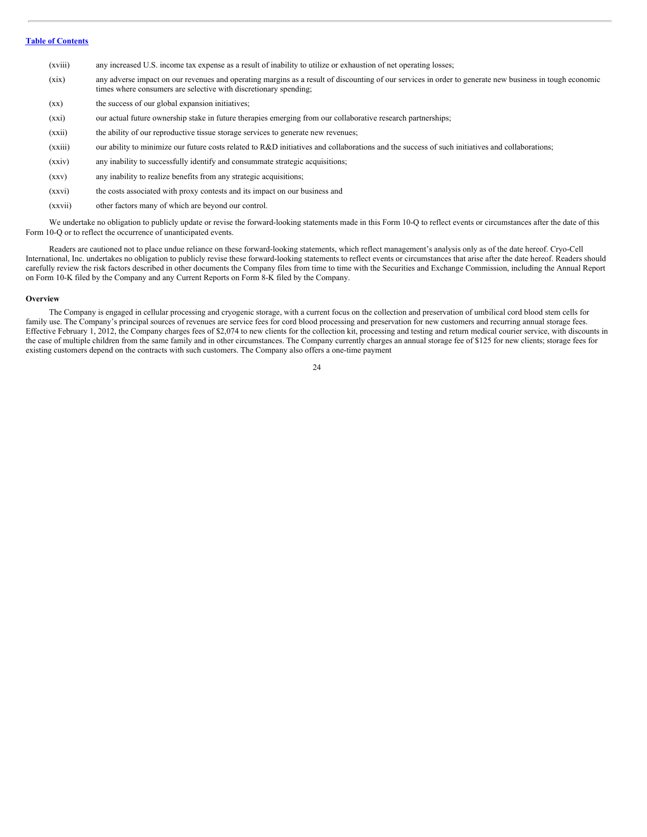- (xviii) any increased U.S. income tax expense as a result of inability to utilize or exhaustion of net operating losses;
- (xix) any adverse impact on our revenues and operating margins as a result of discounting of our services in order to generate new business in tough economic times where consumers are selective with discretionary spending;
- (xx) the success of our global expansion initiatives;
- (xxi) our actual future ownership stake in future therapies emerging from our collaborative research partnerships;
- (xxii) the ability of our reproductive tissue storage services to generate new revenues;
- (xxiii) our ability to minimize our future costs related to R&D initiatives and collaborations and the success of such initiatives and collaborations;
- (xxiv) any inability to successfully identify and consummate strategic acquisitions;
- (xxv) any inability to realize benefits from any strategic acquisitions;
- (xxvi) the costs associated with proxy contests and its impact on our business and
- (xxvii) other factors many of which are beyond our control.

We undertake no obligation to publicly update or revise the forward-looking statements made in this Form 10-Q to reflect events or circumstances after the date of this Form 10-Q or to reflect the occurrence of unanticipated events.

Readers are cautioned not to place undue reliance on these forward-looking statements, which reflect management's analysis only as of the date hereof. Cryo-Cell International, Inc. undertakes no obligation to publicly revise these forward-looking statements to reflect events or circumstances that arise after the date hereof. Readers should carefully review the risk factors described in other documents the Company files from time to time with the Securities and Exchange Commission, including the Annual Report on Form 10-K filed by the Company and any Current Reports on Form 8-K filed by the Company.

#### **Overview**

The Company is engaged in cellular processing and cryogenic storage, with a current focus on the collection and preservation of umbilical cord blood stem cells for family use. The Company's principal sources of revenues are service fees for cord blood processing and preservation for new customers and recurring annual storage fees. Effective February 1, 2012, the Company charges fees of \$2,074 to new clients for the collection kit, processing and testing and return medical courier service, with discounts in the case of multiple children from the same family and in other circumstances. The Company currently charges an annual storage fee of \$125 for new clients; storage fees for existing customers depend on the contracts with such customers. The Company also offers a one-time payment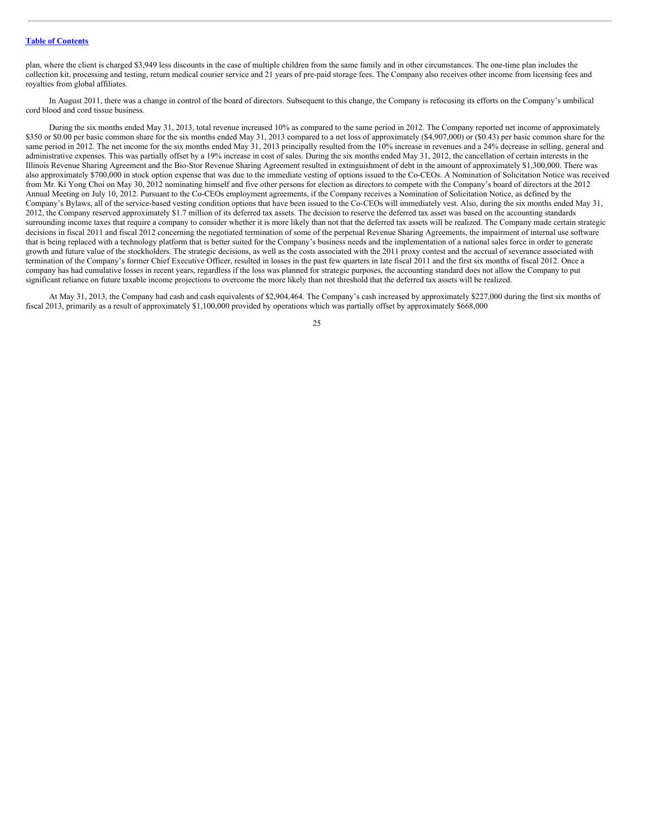plan, where the client is charged \$3,949 less discounts in the case of multiple children from the same family and in other circumstances. The one-time plan includes the collection kit, processing and testing, return medical courier service and 21 years of pre-paid storage fees. The Company also receives other income from licensing fees and royalties from global affiliates.

In August 2011, there was a change in control of the board of directors. Subsequent to this change, the Company is refocusing its efforts on the Company's umbilical cord blood and cord tissue business.

During the six months ended May 31, 2013, total revenue increased 10% as compared to the same period in 2012. The Company reported net income of approximately \$350 or \$0.00 per basic common share for the six months ended May 31, 2013 compared to a net loss of approximately (\$4,907,000) or (\$0.43) per basic common share for the same period in 2012. The net income for the six months ended May 31, 2013 principally resulted from the 10% increase in revenues and a 24% decrease in selling, general and administrative expenses. This was partially offset by a 19% increase in cost of sales. During the six months ended May 31, 2012, the cancellation of certain interests in the Illinois Revenue Sharing Agreement and the Bio-Stor Revenue Sharing Agreement resulted in extinguishment of debt in the amount of approximately \$1,300,000. There was also approximately \$700,000 in stock option expense that was due to the immediate vesting of options issued to the Co-CEOs. A Nomination of Solicitation Notice was received from Mr. Ki Yong Choi on May 30, 2012 nominating himself and five other persons for election as directors to compete with the Company's board of directors at the 2012 Annual Meeting on July 10, 2012. Pursuant to the Co-CEOs employment agreements, if the Company receives a Nomination of Solicitation Notice, as defined by the Company's Bylaws, all of the service-based vesting condition options that have been issued to the Co-CEOs will immediately vest. Also, during the six months ended May 31, 2012, the Company reserved approximately \$1.7 million of its deferred tax assets. The decision to reserve the deferred tax asset was based on the accounting standards surrounding income taxes that require a company to consider whether it is more likely than not that the deferred tax assets will be realized. The Company made certain strategic decisions in fiscal 2011 and fiscal 2012 concerning the negotiated termination of some of the perpetual Revenue Sharing Agreements, the impairment of internal use software that is being replaced with a technology platform that is better suited for the Company's business needs and the implementation of a national sales force in order to generate growth and future value of the stockholders. The strategic decisions, as well as the costs associated with the 2011 proxy contest and the accrual of severance associated with termination of the Company's former Chief Executive Officer, resulted in losses in the past few quarters in late fiscal 2011 and the first six months of fiscal 2012. Once a company has had cumulative losses in recent years, regardless if the loss was planned for strategic purposes, the accounting standard does not allow the Company to put significant reliance on future taxable income projections to overcome the more likely than not threshold that the deferred tax assets will be realized.

At May 31, 2013, the Company had cash and cash equivalents of \$2,904,464. The Company's cash increased by approximately \$227,000 during the first six months of fiscal 2013, primarily as a result of approximately \$1,100,000 provided by operations which was partially offset by approximately \$668,000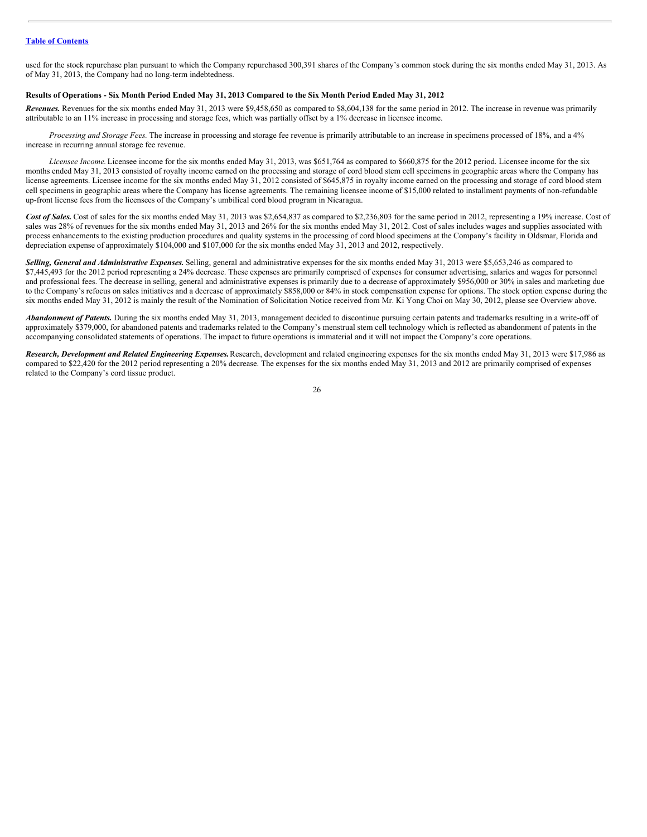used for the stock repurchase plan pursuant to which the Company repurchased 300,391 shares of the Company's common stock during the six months ended May 31, 2013. As of May 31, 2013, the Company had no long-term indebtedness.

# Results of Operations - Six Month Period Ended May 31, 2013 Compared to the Six Month Period Ended May 31, 2012

*Revenues.* Revenues for the six months ended May 31, 2013 were \$9,458,650 as compared to \$8,604,138 for the same period in 2012. The increase in revenue was primarily attributable to an 11% increase in processing and storage fees, which was partially offset by a 1% decrease in licensee income.

*Processing and Storage Fees.* The increase in processing and storage fee revenue is primarily attributable to an increase in specimens processed of 18%, and a 4% increase in recurring annual storage fee revenue.

*Licensee Income.*Licensee income for the six months ended May 31, 2013, was \$651,764 as compared to \$660,875 for the 2012 period. Licensee income for the six months ended May 31, 2013 consisted of royalty income earned on the processing and storage of cord blood stem cell specimens in geographic areas where the Company has license agreements. Licensee income for the six months ended May 31, 2012 consisted of \$645,875 in royalty income earned on the processing and storage of cord blood stem cell specimens in geographic areas where the Company has license agreements. The remaining licensee income of \$15,000 related to installment payments of non-refundable up-front license fees from the licensees of the Company's umbilical cord blood program in Nicaragua.

Cost of Sales. Cost of sales for the six months ended May 31, 2013 was \$2,654,837 as compared to \$2,236,803 for the same period in 2012, representing a 19% increase. Cost of sales was 28% of revenues for the six months ended May 31, 2013 and 26% for the six months ended May 31, 2012. Cost of sales includes wages and supplies associated with process enhancements to the existing production procedures and quality systems in the processing of cord blood specimens at the Company's facility in Oldsmar, Florida and depreciation expense of approximately \$104,000 and \$107,000 for the six months ended May 31, 2013 and 2012, respectively.

*Selling, General and Administrative Expenses.* Selling, general and administrative expenses for the six months ended May 31, 2013 were \$5,653,246 as compared to \$7,445,493 for the 2012 period representing a 24% decrease. These expenses are primarily comprised of expenses for consumer advertising, salaries and wages for personnel and professional fees. The decrease in selling, general and administrative expenses is primarily due to a decrease of approximately \$956,000 or 30% in sales and marketing due to the Company's refocus on sales initiatives and a decrease of approximately \$858,000 or 84% in stock compensation expense for options. The stock option expense during the six months ended May 31, 2012 is mainly the result of the Nomination of Solicitation Notice received from Mr. Ki Yong Choi on May 30, 2012, please see Overview above.

Abandonment of Patents. During the six months ended May 31, 2013, management decided to discontinue pursuing certain patents and trademarks resulting in a write-off of approximately \$379,000, for abandoned patents and trademarks related to the Company's menstrual stem cell technology which is reflected as abandonment of patents in the accompanying consolidated statements of operations. The impact to future operations is immaterial and it will not impact the Company's core operations.

*Research, Development and Related Engineering Expenses.*Research, development and related engineering expenses for the six months ended May 31, 2013 were \$17,986 as compared to \$22,420 for the 2012 period representing a 20% decrease. The expenses for the six months ended May 31, 2013 and 2012 are primarily comprised of expenses related to the Company's cord tissue product.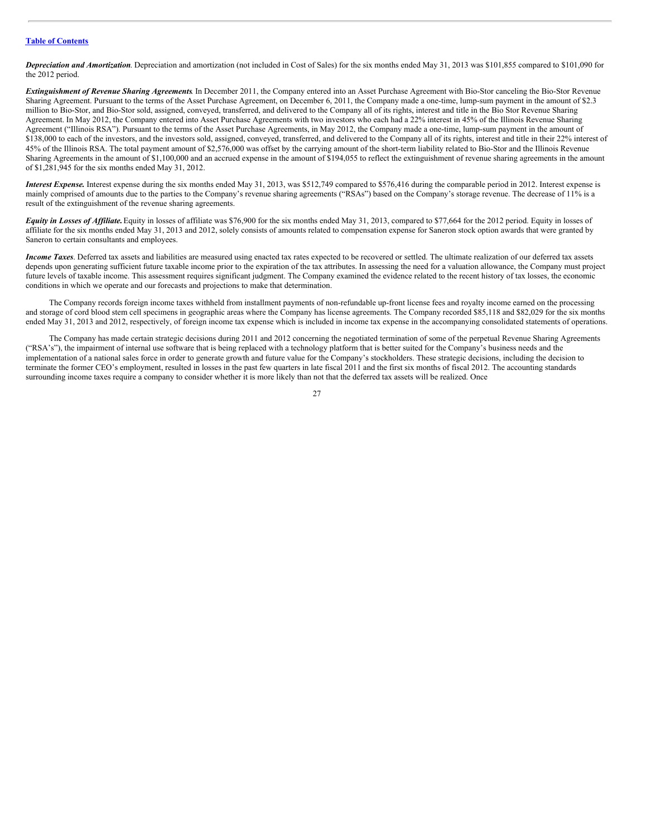*Depreciation and Amortization*. Depreciation and amortization (not included in Cost of Sales) for the six months ended May 31, 2013 was \$101,855 compared to \$101,090 for the 2012 period.

*Extinguishment of Revenue Sharing Agreements*. In December 2011, the Company entered into an Asset Purchase Agreement with Bio-Stor canceling the Bio-Stor Revenue Sharing Agreement. Pursuant to the terms of the Asset Purchase Agreement, on December 6, 2011, the Company made a one-time, lump-sum payment in the amount of \$2.3 million to Bio-Stor, and Bio-Stor sold, assigned, conveyed, transferred, and delivered to the Company all of its rights, interest and title in the Bio Stor Revenue Sharing Agreement. In May 2012, the Company entered into Asset Purchase Agreements with two investors who each had a 22% interest in 45% of the Illinois Revenue Sharing Agreement ("Illinois RSA"). Pursuant to the terms of the Asset Purchase Agreements, in May 2012, the Company made a one-time, lump-sum payment in the amount of \$138,000 to each of the investors, and the investors sold, assigned, conveyed, transferred, and delivered to the Company all of its rights, interest and title in their 22% interest of 45% of the Illinois RSA. The total payment amount of \$2,576,000 was offset by the carrying amount of the short-term liability related to Bio-Stor and the Illinois Revenue Sharing Agreements in the amount of \$1,100,000 and an accrued expense in the amount of \$194,055 to reflect the extinguishment of revenue sharing agreements in the amount of \$1,281,945 for the six months ended May 31, 2012.

*Interest Expense.* Interest expense during the six months ended May 31, 2013, was \$512,749 compared to \$576,416 during the comparable period in 2012. Interest expense is mainly comprised of amounts due to the parties to the Company's revenue sharing agreements ("RSAs") based on the Company's storage revenue. The decrease of 11% is a result of the extinguishment of the revenue sharing agreements.

*Equity in Losses of Affiliate*. Equity in losses of affiliate was \$76,900 for the six months ended May 31, 2013, compared to \$77,664 for the 2012 period. Equity in losses of affiliate for the six months ended May 31, 2013 and 2012, solely consists of amounts related to compensation expense for Saneron stock option awards that were granted by Saneron to certain consultants and employees.

*Income Taxes*. Deferred tax assets and liabilities are measured using enacted tax rates expected to be recovered or settled. The ultimate realization of our deferred tax assets depends upon generating sufficient future taxable income prior to the expiration of the tax attributes. In assessing the need for a valuation allowance, the Company must project future levels of taxable income. This assessment requires significant judgment. The Company examined the evidence related to the recent history of tax losses, the economic conditions in which we operate and our forecasts and projections to make that determination.

The Company records foreign income taxes withheld from installment payments of non-refundable up-front license fees and royalty income earned on the processing and storage of cord blood stem cell specimens in geographic areas where the Company has license agreements. The Company recorded \$85,118 and \$82,029 for the six months ended May 31, 2013 and 2012, respectively, of foreign income tax expense which is included in income tax expense in the accompanying consolidated statements of operations.

The Company has made certain strategic decisions during 2011 and 2012 concerning the negotiated termination of some of the perpetual Revenue Sharing Agreements ("RSA's"), the impairment of internal use software that is being replaced with a technology platform that is better suited for the Company's business needs and the implementation of a national sales force in order to generate growth and future value for the Company's stockholders. These strategic decisions, including the decision to terminate the former CEO's employment, resulted in losses in the past few quarters in late fiscal 2011 and the first six months of fiscal 2012. The accounting standards surrounding income taxes require a company to consider whether it is more likely than not that the deferred tax assets will be realized. Once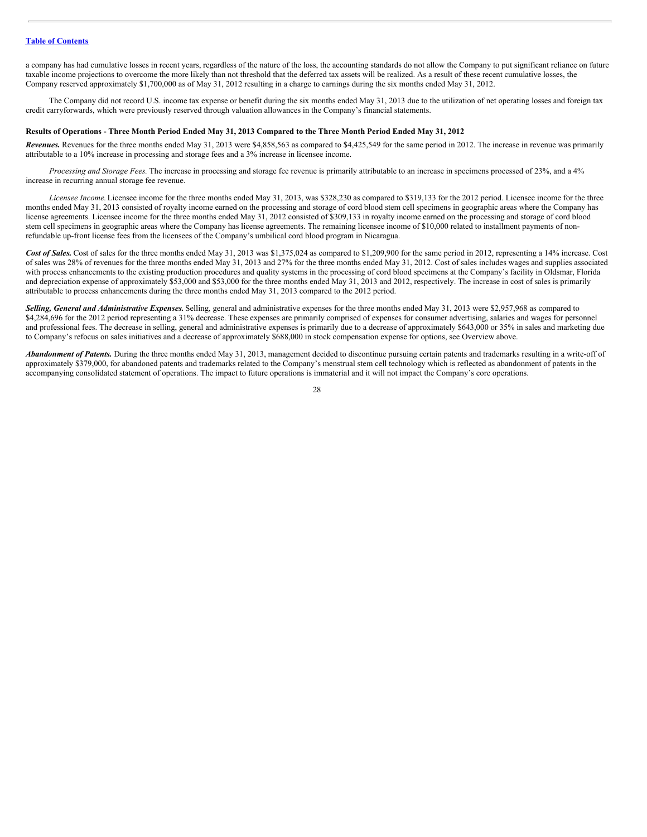a company has had cumulative losses in recent years, regardless of the nature of the loss, the accounting standards do not allow the Company to put significant reliance on future taxable income projections to overcome the more likely than not threshold that the deferred tax assets will be realized. As a result of these recent cumulative losses, the Company reserved approximately \$1,700,000 as of May 31, 2012 resulting in a charge to earnings during the six months ended May 31, 2012.

The Company did not record U.S. income tax expense or benefit during the six months ended May 31, 2013 due to the utilization of net operating losses and foreign tax credit carryforwards, which were previously reserved through valuation allowances in the Company's financial statements.

#### Results of Operations - Three Month Period Ended May 31, 2013 Compared to the Three Month Period Ended May 31, 2012

*Revenues.* Revenues for the three months ended May 31, 2013 were \$4,858,563 as compared to \$4,425,549 for the same period in 2012. The increase in revenue was primarily attributable to a 10% increase in processing and storage fees and a 3% increase in licensee income.

*Processing and Storage Fees.* The increase in processing and storage fee revenue is primarily attributable to an increase in specimens processed of 23%, and a 4% increase in recurring annual storage fee revenue.

*Licensee Income.*Licensee income for the three months ended May 31, 2013, was \$328,230 as compared to \$319,133 for the 2012 period. Licensee income for the three months ended May 31, 2013 consisted of royalty income earned on the processing and storage of cord blood stem cell specimens in geographic areas where the Company has license agreements. Licensee income for the three months ended May 31, 2012 consisted of \$309,133 in royalty income earned on the processing and storage of cord blood stem cell specimens in geographic areas where the Company has license agreements. The remaining licensee income of \$10,000 related to installment payments of nonrefundable up-front license fees from the licensees of the Company's umbilical cord blood program in Nicaragua.

Cost of Sales. Cost of sales for the three months ended May 31, 2013 was \$1,375,024 as compared to \$1,209,900 for the same period in 2012, representing a 14% increase. Cost of sales was 28% of revenues for the three months ended May 31, 2013 and 27% for the three months ended May 31, 2012. Cost of sales includes wages and supplies associated with process enhancements to the existing production procedures and quality systems in the processing of cord blood specimens at the Company's facility in Oldsmar, Florida and depreciation expense of approximately \$53,000 and \$53,000 for the three months ended May 31, 2013 and 2012, respectively. The increase in cost of sales is primarily attributable to process enhancements during the three months ended May 31, 2013 compared to the 2012 period.

*Selling, General and Administrative Expenses.* Selling, general and administrative expenses for the three months ended May 31, 2013 were \$2,957,968 as compared to \$4,284,696 for the 2012 period representing a 31% decrease. These expenses are primarily comprised of expenses for consumer advertising, salaries and wages for personnel and professional fees. The decrease in selling, general and administrative expenses is primarily due to a decrease of approximately \$643,000 or 35% in sales and marketing due to Company's refocus on sales initiatives and a decrease of approximately \$688,000 in stock compensation expense for options, see Overview above.

*Abandonment of Patents.* During the three months ended May 31, 2013, management decided to discontinue pursuing certain patents and trademarks resulting in a write-off of approximately \$379,000, for abandoned patents and trademarks related to the Company's menstrual stem cell technology which is reflected as abandonment of patents in the accompanying consolidated statement of operations. The impact to future operations is immaterial and it will not impact the Company's core operations.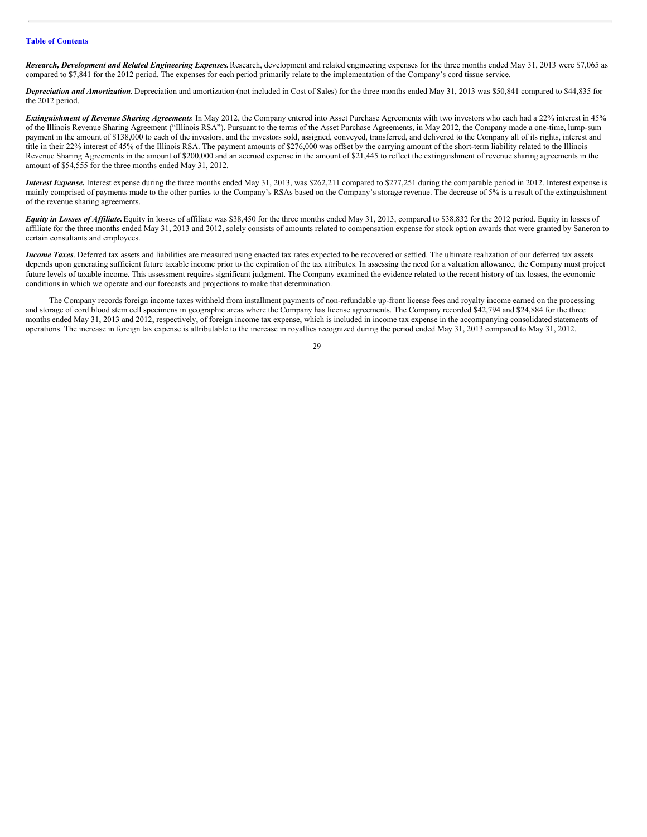*Research, Development and Related Engineering Expenses.*Research, development and related engineering expenses for the three months ended May 31, 2013 were \$7,065 as compared to \$7,841 for the 2012 period. The expenses for each period primarily relate to the implementation of the Company's cord tissue service.

*Depreciation and Amortization*. Depreciation and amortization (not included in Cost of Sales) for the three months ended May 31, 2013 was \$50,841 compared to \$44,835 for the 2012 period.

*Extinguishment of Revenue Sharing Agreements*. In May 2012, the Company entered into Asset Purchase Agreements with two investors who each had a 22% interest in 45% of the Illinois Revenue Sharing Agreement ("Illinois RSA"). Pursuant to the terms of the Asset Purchase Agreements, in May 2012, the Company made a one-time, lump-sum payment in the amount of \$138,000 to each of the investors, and the investors sold, assigned, conveyed, transferred, and delivered to the Company all of its rights, interest and title in their 22% interest of 45% of the Illinois RSA. The payment amounts of \$276,000 was offset by the carrying amount of the short-term liability related to the Illinois Revenue Sharing Agreements in the amount of \$200,000 and an accrued expense in the amount of \$21,445 to reflect the extinguishment of revenue sharing agreements in the amount of \$54,555 for the three months ended May 31, 2012.

*Interest Expense.* Interest expense during the three months ended May 31, 2013, was \$262,211 compared to \$277,251 during the comparable period in 2012. Interest expense is mainly comprised of payments made to the other parties to the Company's RSAs based on the Company's storage revenue. The decrease of 5% is a result of the extinguishment of the revenue sharing agreements.

*Equity in Losses of Af iliate.*Equity in losses of affiliate was \$38,450 for the three months ended May 31, 2013, compared to \$38,832 for the 2012 period. Equity in losses of affiliate for the three months ended May 31, 2013 and 2012, solely consists of amounts related to compensation expense for stock option awards that were granted by Saneron to certain consultants and employees.

*Income Taxes*. Deferred tax assets and liabilities are measured using enacted tax rates expected to be recovered or settled. The ultimate realization of our deferred tax assets depends upon generating sufficient future taxable income prior to the expiration of the tax attributes. In assessing the need for a valuation allowance, the Company must project future levels of taxable income. This assessment requires significant judgment. The Company examined the evidence related to the recent history of tax losses, the economic conditions in which we operate and our forecasts and projections to make that determination.

The Company records foreign income taxes withheld from installment payments of non-refundable up-front license fees and royalty income earned on the processing and storage of cord blood stem cell specimens in geographic areas where the Company has license agreements. The Company recorded \$42,794 and \$24,884 for the three months ended May 31, 2013 and 2012, respectively, of foreign income tax expense, which is included in income tax expense in the accompanying consolidated statements of operations. The increase in foreign tax expense is attributable to the increase in royalties recognized during the period ended May 31, 2013 compared to May 31, 2012.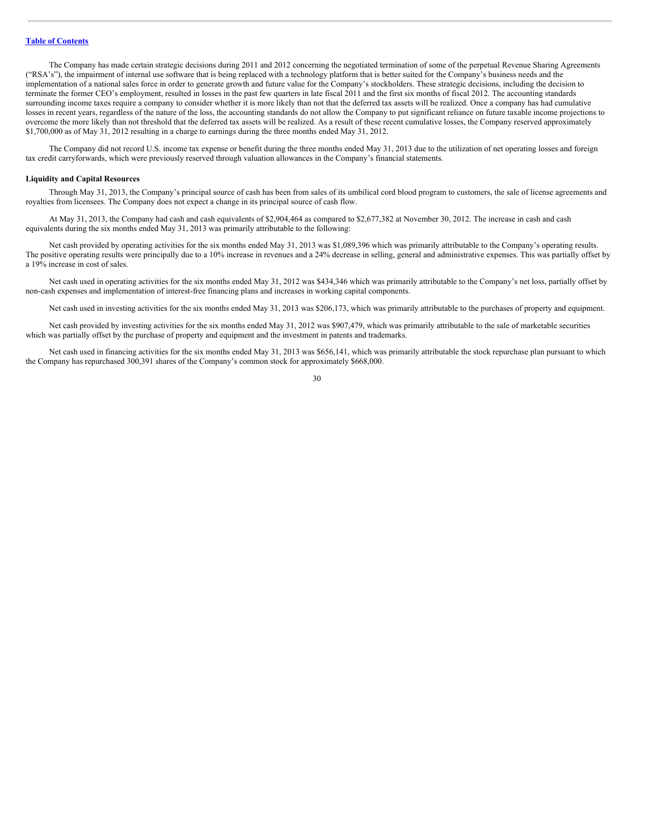The Company has made certain strategic decisions during 2011 and 2012 concerning the negotiated termination of some of the perpetual Revenue Sharing Agreements ("RSA's"), the impairment of internal use software that is being replaced with a technology platform that is better suited for the Company's business needs and the implementation of a national sales force in order to generate growth and future value for the Company's stockholders. These strategic decisions, including the decision to terminate the former CEO's employment, resulted in losses in the past few quarters in late fiscal 2011 and the first six months of fiscal 2012. The accounting standards surrounding income taxes require a company to consider whether it is more likely than not that the deferred tax assets will be realized. Once a company has had cumulative losses in recent years, regardless of the nature of the loss, the accounting standards do not allow the Company to put significant reliance on future taxable income projections to overcome the more likely than not threshold that the deferred tax assets will be realized. As a result of these recent cumulative losses, the Company reserved approximately \$1,700,000 as of May 31, 2012 resulting in a charge to earnings during the three months ended May 31, 2012.

The Company did not record U.S. income tax expense or benefit during the three months ended May 31, 2013 due to the utilization of net operating losses and foreign tax credit carryforwards, which were previously reserved through valuation allowances in the Company's financial statements.

#### **Liquidity and Capital Resources**

Through May 31, 2013, the Company's principal source of cash has been from sales of its umbilical cord blood program to customers, the sale of license agreements and royalties from licensees. The Company does not expect a change in its principal source of cash flow.

At May 31, 2013, the Company had cash and cash equivalents of \$2,904,464 as compared to \$2,677,382 at November 30, 2012. The increase in cash and cash equivalents during the six months ended May 31, 2013 was primarily attributable to the following:

Net cash provided by operating activities for the six months ended May 31, 2013 was \$1,089,396 which was primarily attributable to the Company's operating results. The positive operating results were principally due to a 10% increase in revenues and a 24% decrease in selling, general and administrative expenses. This was partially offset by a 19% increase in cost of sales.

Net cash used in operating activities for the six months ended May 31, 2012 was \$434,346 which was primarily attributable to the Company's net loss, partially offset by non-cash expenses and implementation of interest-free financing plans and increases in working capital components.

Net cash used in investing activities for the six months ended May 31, 2013 was \$206,173, which was primarily attributable to the purchases of property and equipment.

Net cash provided by investing activities for the six months ended May 31, 2012 was \$907,479, which was primarily attributable to the sale of marketable securities which was partially offset by the purchase of property and equipment and the investment in patents and trademarks.

Net cash used in financing activities for the six months ended May 31, 2013 was \$656,141, which was primarily attributable the stock repurchase plan pursuant to which the Company has repurchased 300,391 shares of the Company's common stock for approximately \$668,000.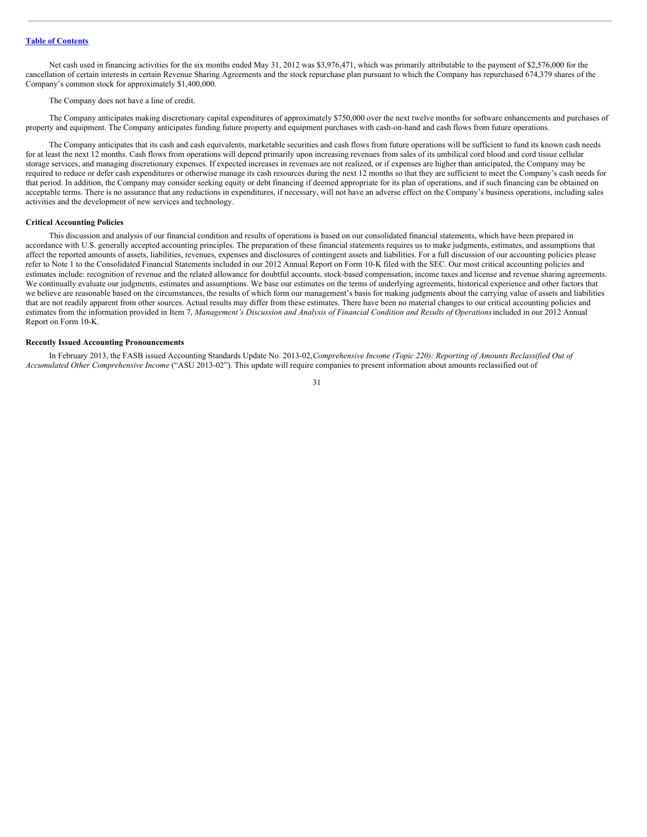Net cash used in financing activities for the six months ended May 31, 2012 was \$3,976,471, which was primarily attributable to the payment of \$2,576,000 for the cancellation of certain interests in certain Revenue Sharing Agreements and the stock repurchase plan pursuant to which the Company has repurchased 674,379 shares of the Company's common stock for approximately \$1,400,000.

#### The Company does not have a line of credit.

The Company anticipates making discretionary capital expenditures of approximately \$750,000 over the next twelve months for software enhancements and purchases of property and equipment. The Company anticipates funding future property and equipment purchases with cash-on-hand and cash flows from future operations.

The Company anticipates that its cash and cash equivalents, marketable securities and cash flows from future operations will be sufficient to fund its known cash needs for at least the next 12 months. Cash flows from operations will depend primarily upon increasing revenues from sales of its umbilical cord blood and cord tissue cellular storage services, and managing discretionary expenses. If expected increases in revenues are not realized, or if expenses are higher than anticipated, the Company may be required to reduce or defer cash expenditures or otherwise manage its cash resources during the next 12 months so that they are sufficient to meet the Company's cash needs for that period. In addition, the Company may consider seeking equity or debt financing if deemed appropriate for its plan of operations, and if such financing can be obtained on acceptable terms. There is no assurance that any reductions in expenditures, if necessary, will not have an adverse effect on the Company's business operations, including sales activities and the development of new services and technology.

#### **Critical Accounting Policies**

This discussion and analysis of our financial condition and results of operations is based on our consolidated financial statements, which have been prepared in accordance with U.S. generally accepted accounting principles. The preparation of these financial statements requires us to make judgments, estimates, and assumptions that affect the reported amounts of assets, liabilities, revenues, expenses and disclosures of contingent assets and liabilities. For a full discussion of our accounting policies please refer to Note 1 to the Consolidated Financial Statements included in our 2012 Annual Report on Form 10-K filed with the SEC. Our most critical accounting policies and estimates include: recognition of revenue and the related allowance for doubtful accounts, stock-based compensation, income taxes and license and revenue sharing agreements. We continually evaluate our judgments, estimates and assumptions. We base our estimates on the terms of underlying agreements, historical experience and other factors that we believe are reasonable based on the circumstances, the results of which form our management's basis for making judgments about the carrying value of assets and liabilities that are not readily apparent from other sources. Actual results may differ from these estimates. There have been no material changes to our critical accounting policies and estimates from the information provided in Item 7, Management's Discussion and Analysis of Financial Condition and Results of Operations included in our 2012 Annual Report on Form 10-K.

#### **Recently Issued Accounting Pronouncements**

In February 2013, the FASB issued Accounting Standards Update No. 2013-02,*Comprehensive Income (Topic 220): Reporting of Amounts Reclassified Out of Accumulated Other Comprehensive Income* ("ASU 2013-02"). This update will require companies to present information about amounts reclassified out of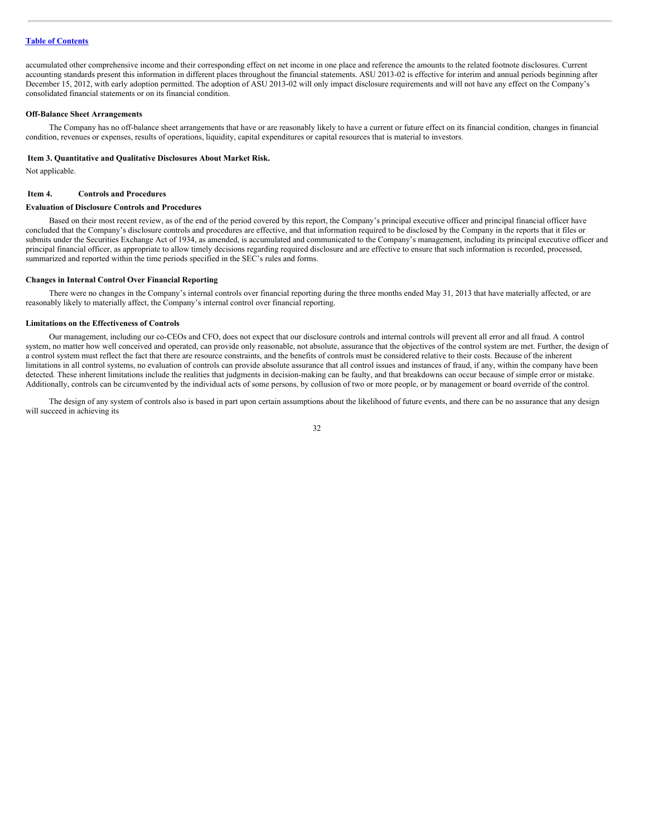accumulated other comprehensive income and their corresponding effect on net income in one place and reference the amounts to the related footnote disclosures. Current accounting standards present this information in different places throughout the financial statements. ASU 2013-02 is effective for interim and annual periods beginning after December 15, 2012, with early adoption permitted. The adoption of ASU 2013-02 will only impact disclosure requirements and will not have any effect on the Company's consolidated financial statements or on its financial condition.

#### **Off-Balance Sheet Arrangements**

The Company has no off-balance sheet arrangements that have or are reasonably likely to have a current or future effect on its financial condition, changes in financial condition, revenues or expenses, results of operations, liquidity, capital expenditures or capital resources that is material to investors.

#### <span id="page-31-0"></span>**Item 3. Quantitative and Qualitative Disclosures About Market Risk.**

Not applicable.

# <span id="page-31-1"></span>**Item 4. Controls and Procedures**

#### **Evaluation of Disclosure Controls and Procedures**

Based on their most recent review, as of the end of the period covered by this report, the Company's principal executive officer and principal financial officer have concluded that the Company's disclosure controls and procedures are effective, and that information required to be disclosed by the Company in the reports that it files or submits under the Securities Exchange Act of 1934, as amended, is accumulated and communicated to the Company's management, including its principal executive officer and principal financial officer, as appropriate to allow timely decisions regarding required disclosure and are effective to ensure that such information is recorded, processed, summarized and reported within the time periods specified in the SEC's rules and forms.

#### **Changes in Internal Control Over Financial Reporting**

There were no changes in the Company's internal controls over financial reporting during the three months ended May 31, 2013 that have materially affected, or are reasonably likely to materially affect, the Company's internal control over financial reporting.

#### **Limitations on the Effectiveness of Controls**

Our management, including our co-CEOs and CFO, does not expect that our disclosure controls and internal controls will prevent all error and all fraud. A control system, no matter how well conceived and operated, can provide only reasonable, not absolute, assurance that the objectives of the control system are met. Further, the design of a control system must reflect the fact that there are resource constraints, and the benefits of controls must be considered relative to their costs. Because of the inherent limitations in all control systems, no evaluation of controls can provide absolute assurance that all control issues and instances of fraud, if any, within the company have been detected. These inherent limitations include the realities that judgments in decision-making can be faulty, and that breakdowns can occur because of simple error or mistake. Additionally, controls can be circumvented by the individual acts of some persons, by collusion of two or more people, or by management or board override of the control.

The design of any system of controls also is based in part upon certain assumptions about the likelihood of future events, and there can be no assurance that any design will succeed in achieving its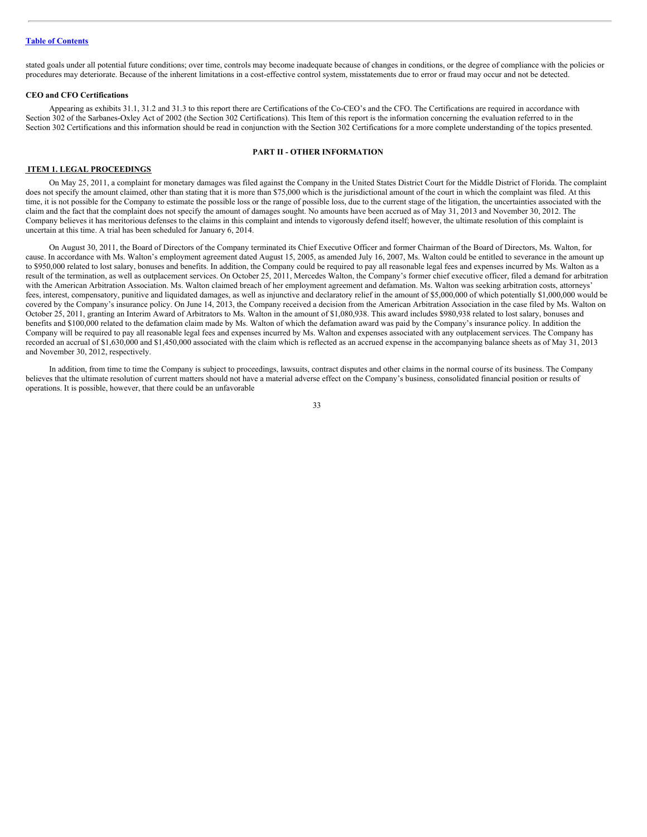stated goals under all potential future conditions; over time, controls may become inadequate because of changes in conditions, or the degree of compliance with the policies or procedures may deteriorate. Because of the inherent limitations in a cost-effective control system, misstatements due to error or fraud may occur and not be detected.

#### **CEO and CFO Certifications**

Appearing as exhibits 31.1, 31.2 and 31.3 to this report there are Certifications of the Co-CEO's and the CFO. The Certifications are required in accordance with Section 302 of the Sarbanes-Oxley Act of 2002 (the Section 302 Certifications). This Item of this report is the information concerning the evaluation referred to in the Section 302 Certifications and this information should be read in conjunction with the Section 302 Certifications for a more complete understanding of the topics presented.

#### <span id="page-32-0"></span>**PART II - OTHER INFORMATION**

#### <span id="page-32-1"></span>**ITEM 1. LEGAL PROCEEDINGS**

On May 25, 2011, a complaint for monetary damages was filed against the Company in the United States District Court for the Middle District of Florida. The complaint does not specify the amount claimed, other than stating that it is more than \$75,000 which is the jurisdictional amount of the court in which the complaint was filed. At this time, it is not possible for the Company to estimate the possible loss or the range of possible loss, due to the current stage of the litigation, the uncertainties associated with the claim and the fact that the complaint does not specify the amount of damages sought. No amounts have been accrued as of May 31, 2013 and November 30, 2012. The Company believes it has meritorious defenses to the claims in this complaint and intends to vigorously defend itself; however, the ultimate resolution of this complaint is uncertain at this time. A trial has been scheduled for January 6, 2014.

On August 30, 2011, the Board of Directors of the Company terminated its Chief Executive Officer and former Chairman of the Board of Directors, Ms. Walton, for cause. In accordance with Ms. Walton's employment agreement dated August 15, 2005, as amended July 16, 2007, Ms. Walton could be entitled to severance in the amount up to \$950,000 related to lost salary, bonuses and benefits. In addition, the Company could be required to pay all reasonable legal fees and expenses incurred by Ms. Walton as a result of the termination, as well as outplacement services. On October 25, 2011, Mercedes Walton, the Company's former chief executive officer, filed a demand for arbitration with the American Arbitration Association. Ms. Walton claimed breach of her employment agreement and defamation. Ms. Walton was seeking arbitration costs, attorneys' fees, interest, compensatory, punitive and liquidated damages, as well as injunctive and declaratory relief in the amount of \$5,000,000 of which potentially \$1,000,000 would be covered by the Company's insurance policy. On June 14, 2013, the Company received a decision from the American Arbitration Association in the case filed by Ms. Walton on October 25, 2011, granting an Interim Award of Arbitrators to Ms. Walton in the amount of \$1,080,938. This award includes \$980,938 related to lost salary, bonuses and benefits and \$100,000 related to the defamation claim made by Ms. Walton of which the defamation award was paid by the Company's insurance policy. In addition the Company will be required to pay all reasonable legal fees and expenses incurred by Ms. Walton and expenses associated with any outplacement services. The Company has recorded an accrual of \$1,630,000 and \$1,450,000 associated with the claim which is reflected as an accrued expense in the accompanying balance sheets as of May 31, 2013 and November 30, 2012, respectively.

In addition, from time to time the Company is subject to proceedings, lawsuits, contract disputes and other claims in the normal course of its business. The Company believes that the ultimate resolution of current matters should not have a material adverse effect on the Company's business, consolidated financial position or results of operations. It is possible, however, that there could be an unfavorable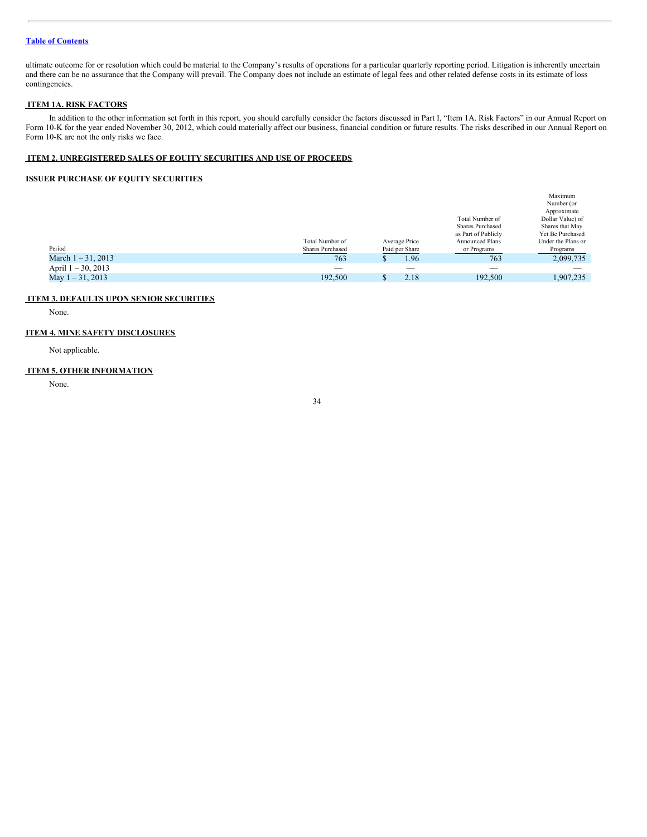ultimate outcome for or resolution which could be material to the Company's results of operations for a particular quarterly reporting period. Litigation is inherently uncertain and there can be no assurance that the Company will prevail. The Company does not include an estimate of legal fees and other related defense costs in its estimate of loss contingencies.

# <span id="page-33-0"></span>**ITEM 1A. RISK FACTORS**

In addition to the other information set forth in this report, you should carefully consider the factors discussed in Part I, "Item 1A. Risk Factors" in our Annual Report on Form 10-K for the year ended November 30, 2012, which could materially affect our business, financial condition or future results. The risks described in our Annual Report on Form 10-K are not the only risks we face.

# <span id="page-33-1"></span>**ITEM 2. UNREGISTERED SALES OF EQUITY SECURITIES AND USE OF PROCEEDS**

#### **ISSUER PURCHASE OF EQUITY SECURITIES**

|                       |                          |                          |                         | Maximum            |
|-----------------------|--------------------------|--------------------------|-------------------------|--------------------|
|                       |                          |                          |                         | Number (or         |
|                       |                          |                          |                         | Approximate        |
|                       |                          |                          | Total Number of         | Dollar Value) of   |
|                       |                          |                          | <b>Shares Purchased</b> | Shares that May    |
|                       |                          |                          | as Part of Publicly     | Yet Be Purchased   |
|                       | Total Number of          | Average Price            | <b>Announced Plans</b>  | Under the Plans or |
| Period                | Shares Purchased         | Paid per Share           | or Programs             | Programs           |
| March $1 - 31$ , 2013 | 763                      | 1.96                     | 763                     | 2,099,735          |
| April $1 - 30$ , 2013 | $\overline{\phantom{a}}$ | $\overline{\phantom{a}}$ | __                      |                    |
| May $1 - 31$ , 2013   | 192,500                  | 2.18                     | 192,500                 | 1,907,235          |

#### <span id="page-33-2"></span>**ITEM 3. DEFAULTS UPON SENIOR SECURITIES**

None.

# **ITEM 4. MINE SAFETY DISCLOSURES**

Not applicable.

# <span id="page-33-3"></span>**ITEM 5. OTHER INFORMATION**

None.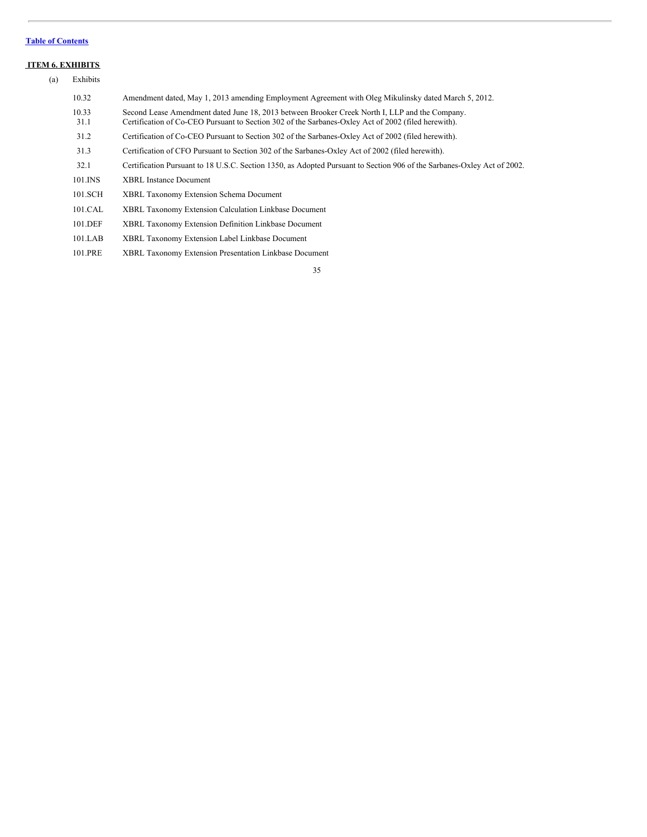$(a)$ 

# <span id="page-34-0"></span>**ITEM 6. EXHIBITS**

| Exhibits      |                                                                                                                                                                                                       |
|---------------|-------------------------------------------------------------------------------------------------------------------------------------------------------------------------------------------------------|
| 10.32         | Amendment dated, May 1, 2013 amending Employment Agreement with Oleg Mikulinsky dated March 5, 2012.                                                                                                  |
| 10.33<br>31.1 | Second Lease Amendment dated June 18, 2013 between Brooker Creek North I, LLP and the Company.<br>Certification of Co-CEO Pursuant to Section 302 of the Sarbanes-Oxley Act of 2002 (filed herewith). |
| 31.2          | Certification of Co-CEO Pursuant to Section 302 of the Sarbanes-Oxley Act of 2002 (filed herewith).                                                                                                   |
| 31.3          | Certification of CFO Pursuant to Section 302 of the Sarbanes-Oxley Act of 2002 (filed herewith).                                                                                                      |
| 32.1          | Certification Pursuant to 18 U.S.C. Section 1350, as Adopted Pursuant to Section 906 of the Sarbanes-Oxley Act of 2002.                                                                               |
| 101.INS       | <b>XBRL Instance Document</b>                                                                                                                                                                         |
| 101.SCH       | <b>XBRL Taxonomy Extension Schema Document</b>                                                                                                                                                        |
| 101.CAL       | XBRL Taxonomy Extension Calculation Linkbase Document                                                                                                                                                 |
| 101.DEF       | XBRL Taxonomy Extension Definition Linkbase Document                                                                                                                                                  |
| 101.LAB       | XBRL Taxonomy Extension Label Linkbase Document                                                                                                                                                       |
|               |                                                                                                                                                                                                       |

101.PRE XBRL Taxonomy Extension Presentation Linkbase Document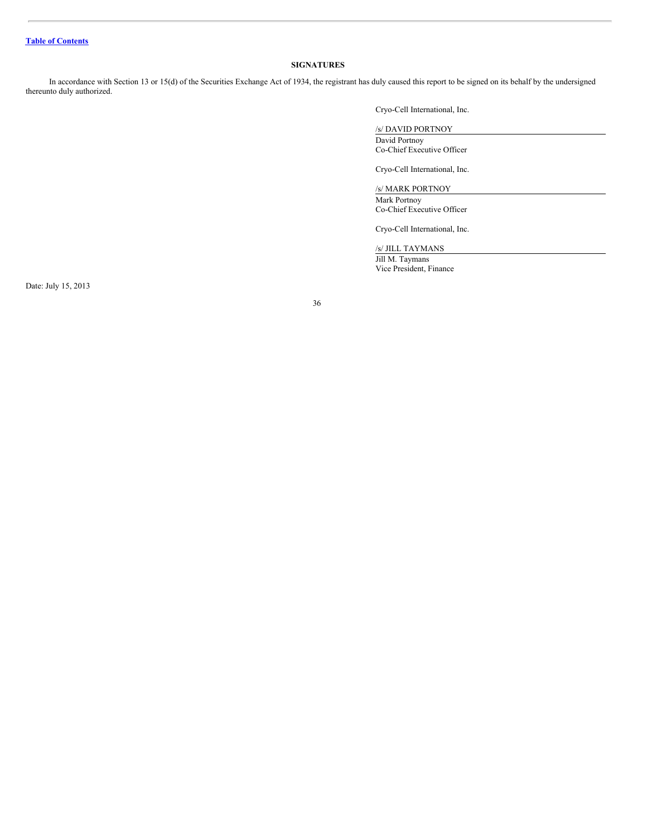# <span id="page-35-0"></span>**SIGNATURES**

In accordance with Section 13 or 15(d) of the Securities Exchange Act of 1934, the registrant has duly caused this report to be signed on its behalf by the undersigned thereunto duly authorized.

Cryo-Cell International, Inc.

/s/ DAVID PORTNOY

David Portnoy Co-Chief Executive Officer

Cryo-Cell International, Inc.

/s/ MARK PORTNOY

Mark Portnoy Co-Chief Executive Officer

Cryo-Cell International, Inc.

/s/ JILL TAYMANS

Jill M. Taymans Vice President, Finance

Date: July 15, 2013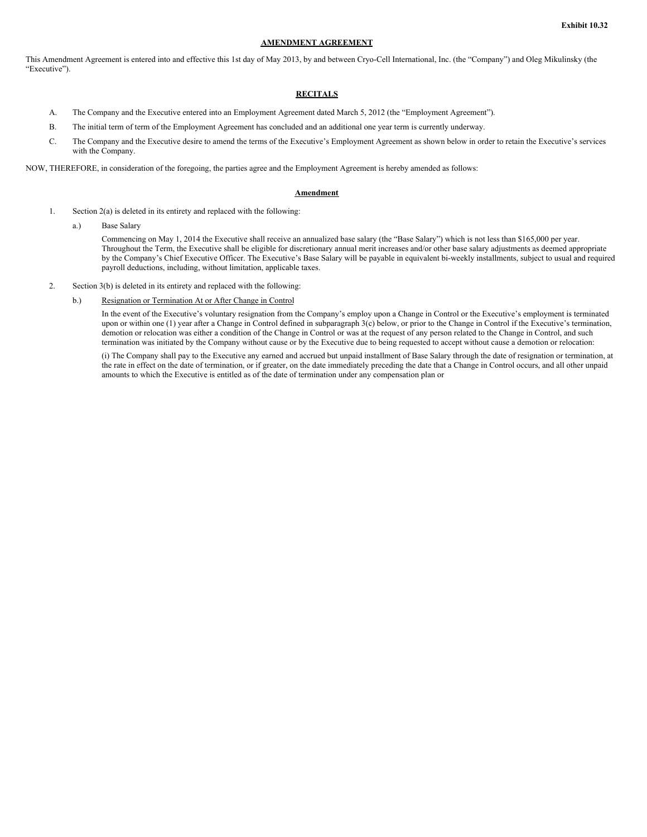#### **AMENDMENT AGREEMENT**

This Amendment Agreement is entered into and effective this 1st day of May 2013, by and between Cryo-Cell International, Inc. (the "Company") and Oleg Mikulinsky (the "Executive").

# **RECITALS**

- A. The Company and the Executive entered into an Employment Agreement dated March 5, 2012 (the "Employment Agreement").
- B. The initial term of term of the Employment Agreement has concluded and an additional one year term is currently underway.
- C. The Company and the Executive desire to amend the terms of the Executive's Employment Agreement as shown below in order to retain the Executive's services with the Company.

NOW, THEREFORE, in consideration of the foregoing, the parties agree and the Employment Agreement is hereby amended as follows:

#### **Amendment**

- 1. Section 2(a) is deleted in its entirety and replaced with the following:
	- a.) Base Salary

Commencing on May 1, 2014 the Executive shall receive an annualized base salary (the "Base Salary") which is not less than \$165,000 per year. Throughout the Term, the Executive shall be eligible for discretionary annual merit increases and/or other base salary adjustments as deemed appropriate by the Company's Chief Executive Officer. The Executive's Base Salary will be payable in equivalent bi-weekly installments, subject to usual and required payroll deductions, including, without limitation, applicable taxes.

2. Section 3(b) is deleted in its entirety and replaced with the following:

# b.) Resignation or Termination At or After Change in Control

In the event of the Executive's voluntary resignation from the Company's employ upon a Change in Control or the Executive's employment is terminated upon or within one (1) year after a Change in Control defined in subparagraph 3(c) below, or prior to the Change in Control if the Executive's termination, demotion or relocation was either a condition of the Change in Control or was at the request of any person related to the Change in Control, and such termination was initiated by the Company without cause or by the Executive due to being requested to accept without cause a demotion or relocation:

(i) The Company shall pay to the Executive any earned and accrued but unpaid installment of Base Salary through the date of resignation or termination, at the rate in effect on the date of termination, or if greater, on the date immediately preceding the date that a Change in Control occurs, and all other unpaid amounts to which the Executive is entitled as of the date of termination under any compensation plan or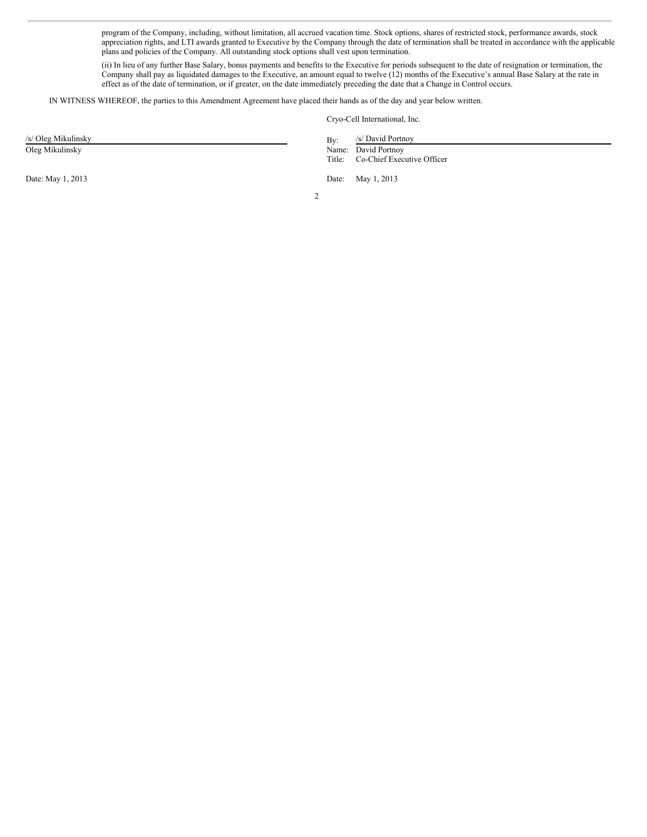program of the Company, including, without limitation, all accrued vacation time. Stock options, shares of restricted stock, performance awards, stock appreciation rights, and LTI awards granted to Executive by the Company through the date of termination shall be treated in accordance with the applicable plans and policies of the Company. All outstanding stock options shall vest upon termination.

(ii) In lieu of any further Base Salary, bonus payments and benefits to the Executive for periods subsequent to the date of resignation or termination, the Company shall pay as liquidated damages to the Executive, an amount equal to twelve (12) months of the Executive's annual Base Salary at the rate in effect as of the date of termination, or if greater, on the date immediately preceding the date that a Change in Control occurs.

IN WITNESS WHEREOF, the parties to this Amendment Agreement have placed their hands as of the day and year below written.

/s/ Oleg Mikulinsky By: Name (1995)<br>
By: Cleg Mikulinsky By: Name (1995)<br>
By: Name (1996)<br>
By: Name (1996)<br>
By: Name (1996)<br>
By: Name (1996)<br>
By: Name (1996)<br>
By: Name (1996)<br>
By: Name (1996)<br>
By: Name (1996)<br>
By: Name (19

Cryo-Cell International, Inc.

/s/ David Portnoy Name: David Portnoy<br>Title: Co-Chief Exec Co-Chief Executive Officer

Date: May 1, 2013 Date: May 1, 2013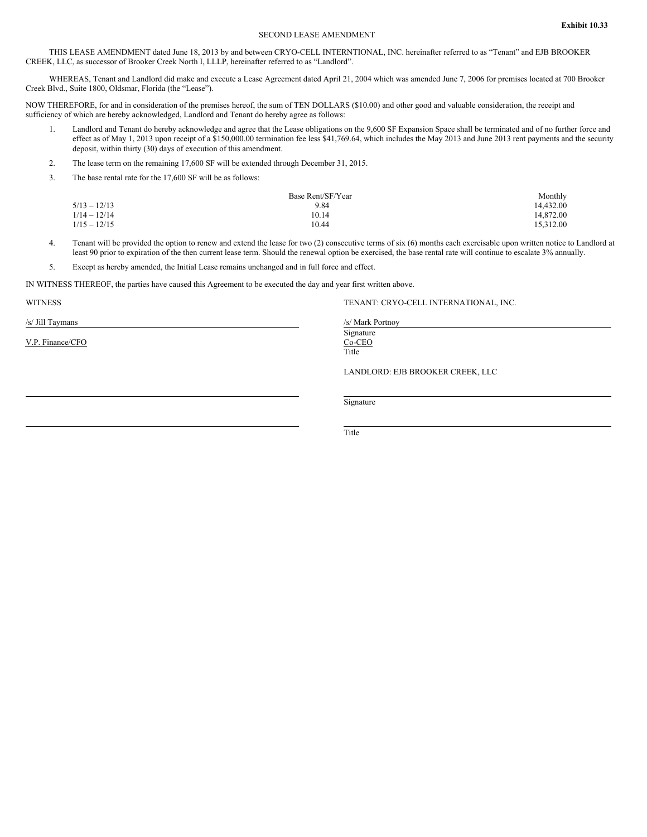#### SECOND LEASE AMENDMENT

THIS LEASE AMENDMENT dated June 18, 2013 by and between CRYO-CELL INTERNTIONAL, INC. hereinafter referred to as "Tenant" and EJB BROOKER CREEK, LLC, as successor of Brooker Creek North I, LLLP, hereinafter referred to as "Landlord".

WHEREAS, Tenant and Landlord did make and execute a Lease Agreement dated April 21, 2004 which was amended June 7, 2006 for premises located at 700 Brooker Creek Blvd., Suite 1800, Oldsmar, Florida (the "Lease").

NOW THEREFORE, for and in consideration of the premises hereof, the sum of TEN DOLLARS (\$10.00) and other good and valuable consideration, the receipt and sufficiency of which are hereby acknowledged, Landlord and Tenant do hereby agree as follows:

- 1. Landlord and Tenant do hereby acknowledge and agree that the Lease obligations on the 9,600 SF Expansion Space shall be terminated and of no further force and effect as of May 1, 2013 upon receipt of a \$150,000.00 termination fee less \$41,769.64, which includes the May 2013 and June 2013 rent payments and the security deposit, within thirty (30) days of execution of this amendment.
- 2. The lease term on the remaining 17,600 SF will be extended through December 31, 2015.
- 3. The base rental rate for the 17,600 SF will be as follows:

|                | Base Rent/SF/Year | Monthly   |
|----------------|-------------------|-----------|
| $5/13 - 12/13$ | 9.84              | 14.432.00 |
| $1/14 - 12/14$ | 10.14             | 14,872.00 |
| $1/15 - 12/15$ | 10.44             | 15.312.00 |

- 4. Tenant will be provided the option to renew and extend the lease for two (2) consecutive terms of six (6) months each exercisable upon written notice to Landlord at least 90 prior to expiration of the then current lease term. Should the renewal option be exercised, the base rental rate will continue to escalate 3% annually.
- 5. Except as hereby amended, the Initial Lease remains unchanged and in full force and effect.

IN WITNESS THEREOF, the parties have caused this Agreement to be executed the day and year first written above.

WITNESS TENANT: CRYO-CELL INTERNATIONAL, INC.

/s/ Jill Taymans /s/ Mark Portnoy

V.P. Finance/CFO Co-CEO

Signature Title

LANDLORD: EJB BROOKER CREEK, LLC

Signature

Title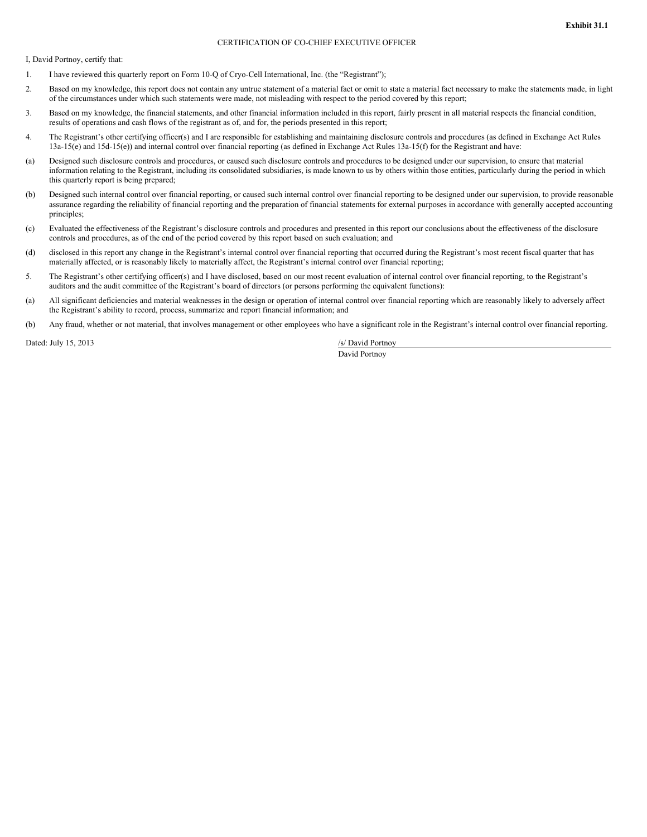## CERTIFICATION OF CO-CHIEF EXECUTIVE OFFICER

I, David Portnoy, certify that:

- 1. I have reviewed this quarterly report on Form 10-Q of Cryo-Cell International, Inc. (the "Registrant");
- 2. Based on my knowledge, this report does not contain any untrue statement of a material fact or omit to state a material fact necessary to make the statements made, in light of the circumstances under which such statements were made, not misleading with respect to the period covered by this report;
- 3. Based on my knowledge, the financial statements, and other financial information included in this report, fairly present in all material respects the financial condition, results of operations and cash flows of the registrant as of, and for, the periods presented in this report;
- 4. The Registrant's other certifying officer(s) and I are responsible for establishing and maintaining disclosure controls and procedures (as defined in Exchange Act Rules 13a-15(e) and 15d-15(e)) and internal control over financial reporting (as defined in Exchange Act Rules 13a-15(f) for the Registrant and have:
- (a) Designed such disclosure controls and procedures, or caused such disclosure controls and procedures to be designed under our supervision, to ensure that material information relating to the Registrant, including its consolidated subsidiaries, is made known to us by others within those entities, particularly during the period in which this quarterly report is being prepared;
- (b) Designed such internal control over financial reporting, or caused such internal control over financial reporting to be designed under our supervision, to provide reasonable assurance regarding the reliability of financial reporting and the preparation of financial statements for external purposes in accordance with generally accepted accounting principles;
- (c) Evaluated the effectiveness of the Registrant's disclosure controls and procedures and presented in this report our conclusions about the effectiveness of the disclosure controls and procedures, as of the end of the period covered by this report based on such evaluation; and
- (d) disclosed in this report any change in the Registrant's internal control over financial reporting that occurred during the Registrant's most recent fiscal quarter that has materially affected, or is reasonably likely to materially affect, the Registrant's internal control over financial reporting;
- 5. The Registrant's other certifying officer(s) and I have disclosed, based on our most recent evaluation of internal control over financial reporting, to the Registrant's auditors and the audit committee of the Registrant's board of directors (or persons performing the equivalent functions):
- (a) All significant deficiencies and material weaknesses in the design or operation of internal control over financial reporting which are reasonably likely to adversely affect the Registrant's ability to record, process, summarize and report financial information; and
- (b) Any fraud, whether or not material, that involves management or other employees who have a significant role in the Registrant's internal control over financial reporting.

Dated: July 15, 2013 /s/ David Portnoy

David Portnoy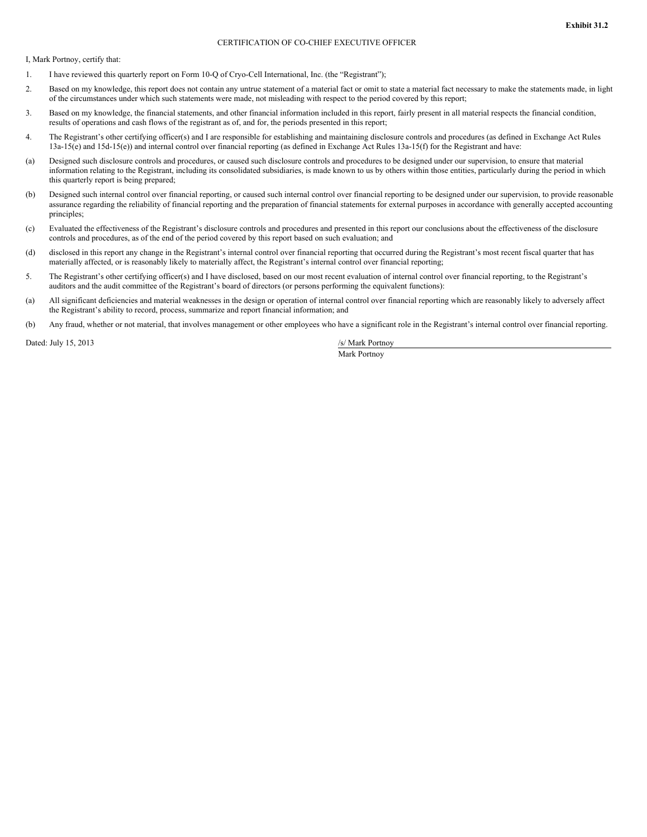#### CERTIFICATION OF CO-CHIEF EXECUTIVE OFFICER

I, Mark Portnoy, certify that:

- 1. I have reviewed this quarterly report on Form 10-Q of Cryo-Cell International, Inc. (the "Registrant");
- 2. Based on my knowledge, this report does not contain any untrue statement of a material fact or omit to state a material fact necessary to make the statements made, in light of the circumstances under which such statements were made, not misleading with respect to the period covered by this report;
- 3. Based on my knowledge, the financial statements, and other financial information included in this report, fairly present in all material respects the financial condition, results of operations and cash flows of the registrant as of, and for, the periods presented in this report;
- 4. The Registrant's other certifying officer(s) and I are responsible for establishing and maintaining disclosure controls and procedures (as defined in Exchange Act Rules 13a-15(e) and 15d-15(e)) and internal control over financial reporting (as defined in Exchange Act Rules 13a-15(f) for the Registrant and have:
- (a) Designed such disclosure controls and procedures, or caused such disclosure controls and procedures to be designed under our supervision, to ensure that material information relating to the Registrant, including its consolidated subsidiaries, is made known to us by others within those entities, particularly during the period in which this quarterly report is being prepared;
- (b) Designed such internal control over financial reporting, or caused such internal control over financial reporting to be designed under our supervision, to provide reasonable assurance regarding the reliability of financial reporting and the preparation of financial statements for external purposes in accordance with generally accepted accounting principles;
- (c) Evaluated the effectiveness of the Registrant's disclosure controls and procedures and presented in this report our conclusions about the effectiveness of the disclosure controls and procedures, as of the end of the period covered by this report based on such evaluation; and
- (d) disclosed in this report any change in the Registrant's internal control over financial reporting that occurred during the Registrant's most recent fiscal quarter that has materially affected, or is reasonably likely to materially affect, the Registrant's internal control over financial reporting;
- 5. The Registrant's other certifying officer(s) and I have disclosed, based on our most recent evaluation of internal control over financial reporting, to the Registrant's auditors and the audit committee of the Registrant's board of directors (or persons performing the equivalent functions):
- (a) All significant deficiencies and material weaknesses in the design or operation of internal control over financial reporting which are reasonably likely to adversely affect the Registrant's ability to record, process, summarize and report financial information; and
- (b) Any fraud, whether or not material, that involves management or other employees who have a significant role in the Registrant's internal control over financial reporting.

Dated: July 15, 2013 /s/ Mark Portnoy

Mark Portnoy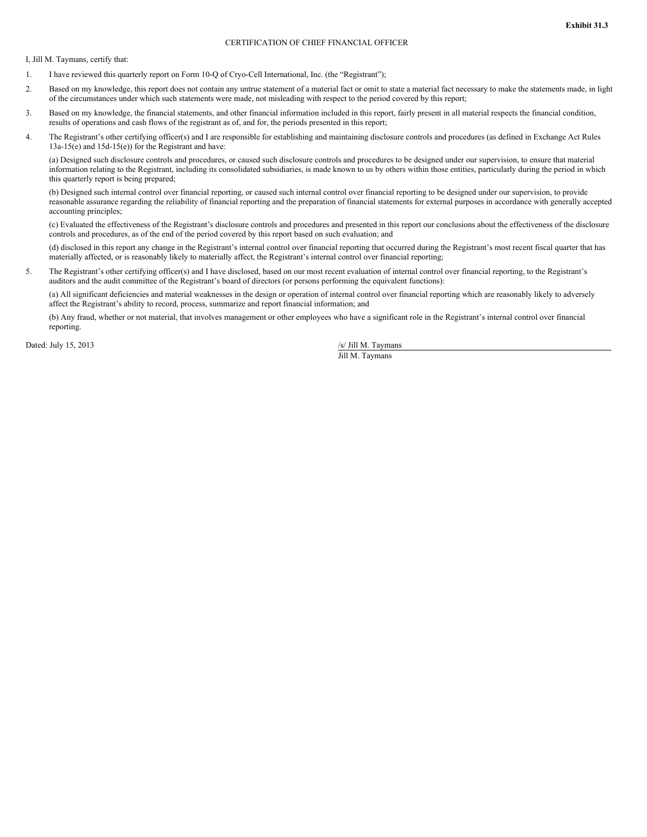## CERTIFICATION OF CHIEF FINANCIAL OFFICER

I, Jill M. Taymans, certify that:

- 1. I have reviewed this quarterly report on Form 10-Q of Cryo-Cell International, Inc. (the "Registrant");
- 2. Based on my knowledge, this report does not contain any untrue statement of a material fact or omit to state a material fact necessary to make the statements made, in light of the circumstances under which such statements were made, not misleading with respect to the period covered by this report;
- 3. Based on my knowledge, the financial statements, and other financial information included in this report, fairly present in all material respects the financial condition, results of operations and cash flows of the registrant as of, and for, the periods presented in this report;
- 4. The Registrant's other certifying officer(s) and I are responsible for establishing and maintaining disclosure controls and procedures (as defined in Exchange Act Rules 13a-15(e) and 15d-15(e)) for the Registrant and have:

(a) Designed such disclosure controls and procedures, or caused such disclosure controls and procedures to be designed under our supervision, to ensure that material information relating to the Registrant, including its consolidated subsidiaries, is made known to us by others within those entities, particularly during the period in which this quarterly report is being prepared;

(b) Designed such internal control over financial reporting, or caused such internal control over financial reporting to be designed under our supervision, to provide reasonable assurance regarding the reliability of financial reporting and the preparation of financial statements for external purposes in accordance with generally accepted accounting principles;

(c) Evaluated the effectiveness of the Registrant's disclosure controls and procedures and presented in this report our conclusions about the effectiveness of the disclosure controls and procedures, as of the end of the period covered by this report based on such evaluation; and

(d) disclosed in this report any change in the Registrant's internal control over financial reporting that occurred during the Registrant's most recent fiscal quarter that has materially affected, or is reasonably likely to materially affect, the Registrant's internal control over financial reporting;

5. The Registrant's other certifying officer(s) and I have disclosed, based on our most recent evaluation of internal control over financial reporting, to the Registrant's auditors and the audit committee of the Registrant's board of directors (or persons performing the equivalent functions):

(a) All significant deficiencies and material weaknesses in the design or operation of internal control over financial reporting which are reasonably likely to adversely affect the Registrant's ability to record, process, summarize and report financial information; and

(b) Any fraud, whether or not material, that involves management or other employees who have a significant role in the Registrant's internal control over financial reporting.

Dated: July 15, 2013 /s/ Jill M. Taymans

Jill M. Taymans